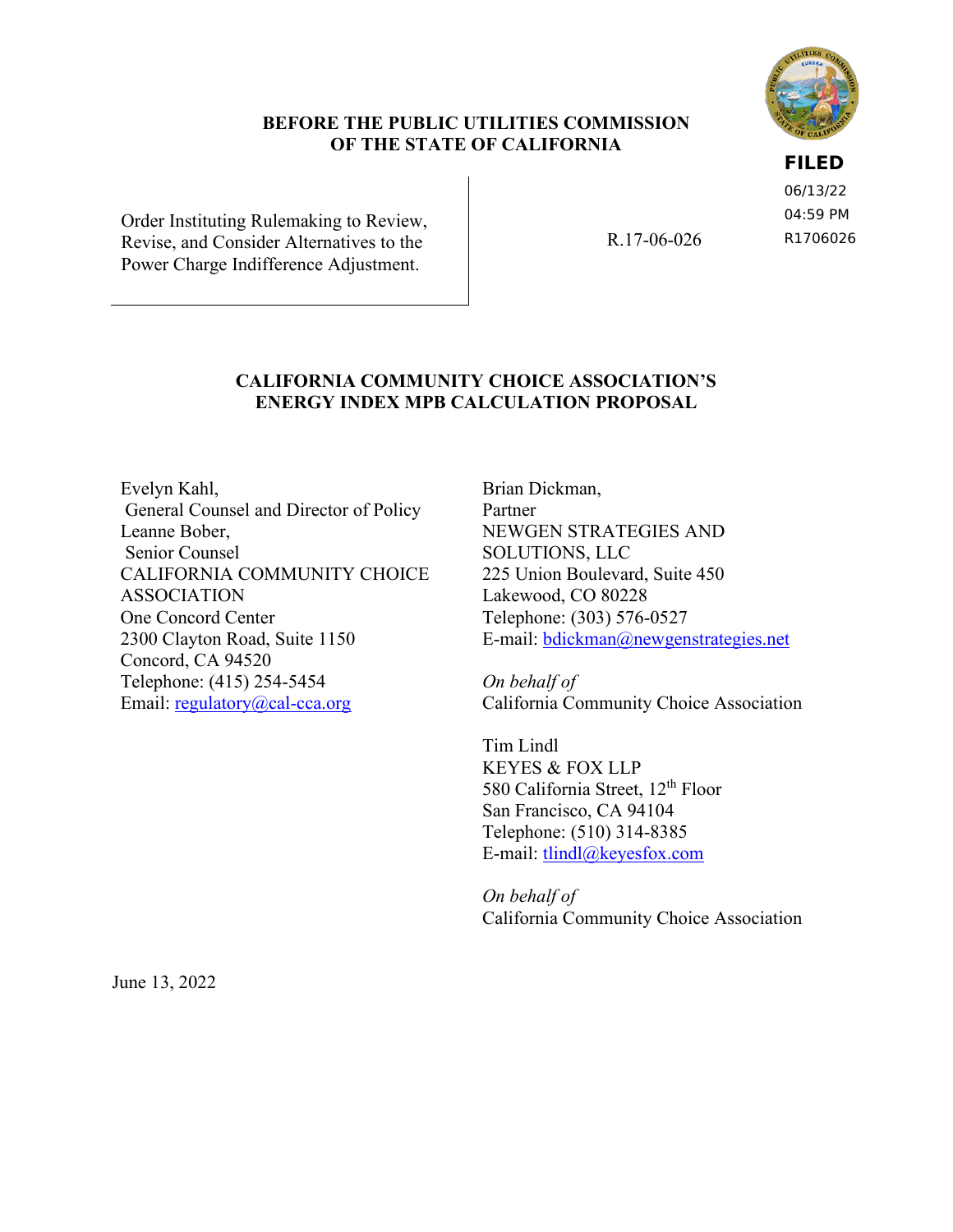#### **BEFORE THE PUBLIC UTILITIES COMMISSION OF THE STATE OF CALIFORNIA**

**FILED**

06/13/22 04:59 PM R1706026

Order Instituting Rulemaking to Review, Revise, and Consider Alternatives to the Power Charge Indifference Adjustment.

R.17-06-026

## **CALIFORNIA COMMUNITY CHOICE ASSOCIATION'S ENERGY INDEX MPB CALCULATION PROPOSAL**

Evelyn Kahl, General Counsel and Director of Policy Leanne Bober, Senior Counsel CALIFORNIA COMMUNITY CHOICE ASSOCIATION One Concord Center 2300 Clayton Road, Suite 1150 Concord, CA 94520 Telephone: (415) 254-5454 Email: [regulatory@cal-cca.org](mailto:regulatory@cal-cca.org)

Brian Dickman, Partner NEWGEN STRATEGIES AND SOLUTIONS, LLC 225 Union Boulevard, Suite 450 Lakewood, CO 80228 Telephone: (303) 576-0527 E-mail: [bdickman@newgenstrategies.net](mailto:bdickman@newgenstrategies.net)

*On behalf of*  California Community Choice Association

Tim Lindl KEYES & FOX LLP 580 California Street, 12<sup>th</sup> Floor San Francisco, CA 94104 Telephone: (510) 314-8385 E-mail: [tlindl@keyesfox.com](mailto:tlindl@keyesfox.com)

*On behalf of*  California Community Choice Association

June 13, 2022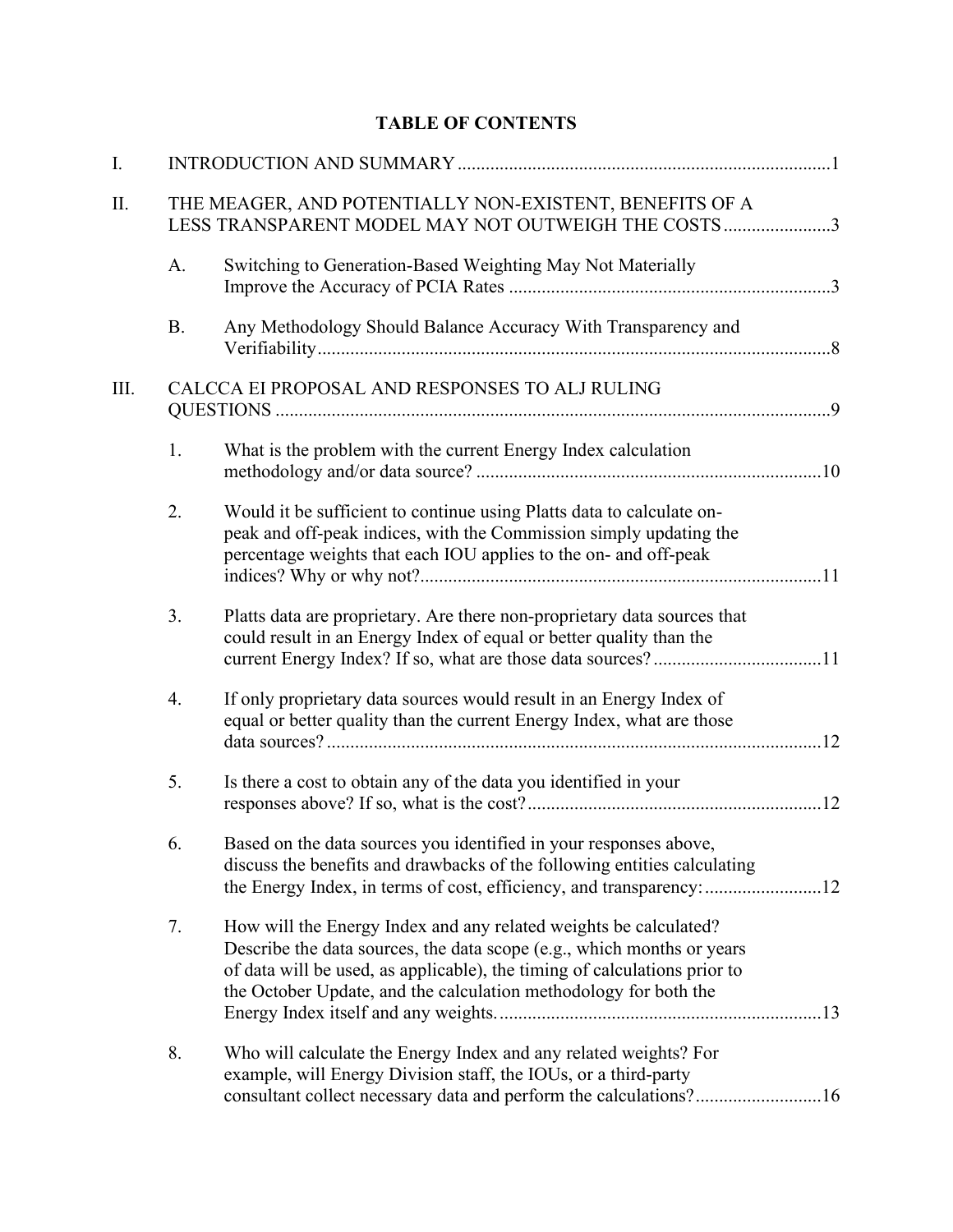# **TABLE OF CONTENTS**

| I.   |           |                                                                                                                                                                                                                                                                                             |  |  |  |  |  |
|------|-----------|---------------------------------------------------------------------------------------------------------------------------------------------------------------------------------------------------------------------------------------------------------------------------------------------|--|--|--|--|--|
| Π.   |           | THE MEAGER, AND POTENTIALLY NON-EXISTENT, BENEFITS OF A<br>LESS TRANSPARENT MODEL MAY NOT OUTWEIGH THE COSTS 3                                                                                                                                                                              |  |  |  |  |  |
|      | A.        | Switching to Generation-Based Weighting May Not Materially                                                                                                                                                                                                                                  |  |  |  |  |  |
|      | <b>B.</b> | Any Methodology Should Balance Accuracy With Transparency and                                                                                                                                                                                                                               |  |  |  |  |  |
| III. |           | CALCCA EI PROPOSAL AND RESPONSES TO ALJ RULING                                                                                                                                                                                                                                              |  |  |  |  |  |
|      | 1.        | What is the problem with the current Energy Index calculation                                                                                                                                                                                                                               |  |  |  |  |  |
|      | 2.        | Would it be sufficient to continue using Platts data to calculate on-<br>peak and off-peak indices, with the Commission simply updating the<br>percentage weights that each IOU applies to the on- and off-peak                                                                             |  |  |  |  |  |
|      | 3.        | Platts data are proprietary. Are there non-proprietary data sources that<br>could result in an Energy Index of equal or better quality than the                                                                                                                                             |  |  |  |  |  |
|      | 4.        | If only proprietary data sources would result in an Energy Index of<br>equal or better quality than the current Energy Index, what are those                                                                                                                                                |  |  |  |  |  |
|      | 5.        | Is there a cost to obtain any of the data you identified in your                                                                                                                                                                                                                            |  |  |  |  |  |
|      | 6.        | Based on the data sources you identified in your responses above,<br>discuss the benefits and drawbacks of the following entities calculating                                                                                                                                               |  |  |  |  |  |
|      | 7.        | How will the Energy Index and any related weights be calculated?<br>Describe the data sources, the data scope (e.g., which months or years<br>of data will be used, as applicable), the timing of calculations prior to<br>the October Update, and the calculation methodology for both the |  |  |  |  |  |
|      | 8.        | Who will calculate the Energy Index and any related weights? For<br>example, will Energy Division staff, the IOUs, or a third-party                                                                                                                                                         |  |  |  |  |  |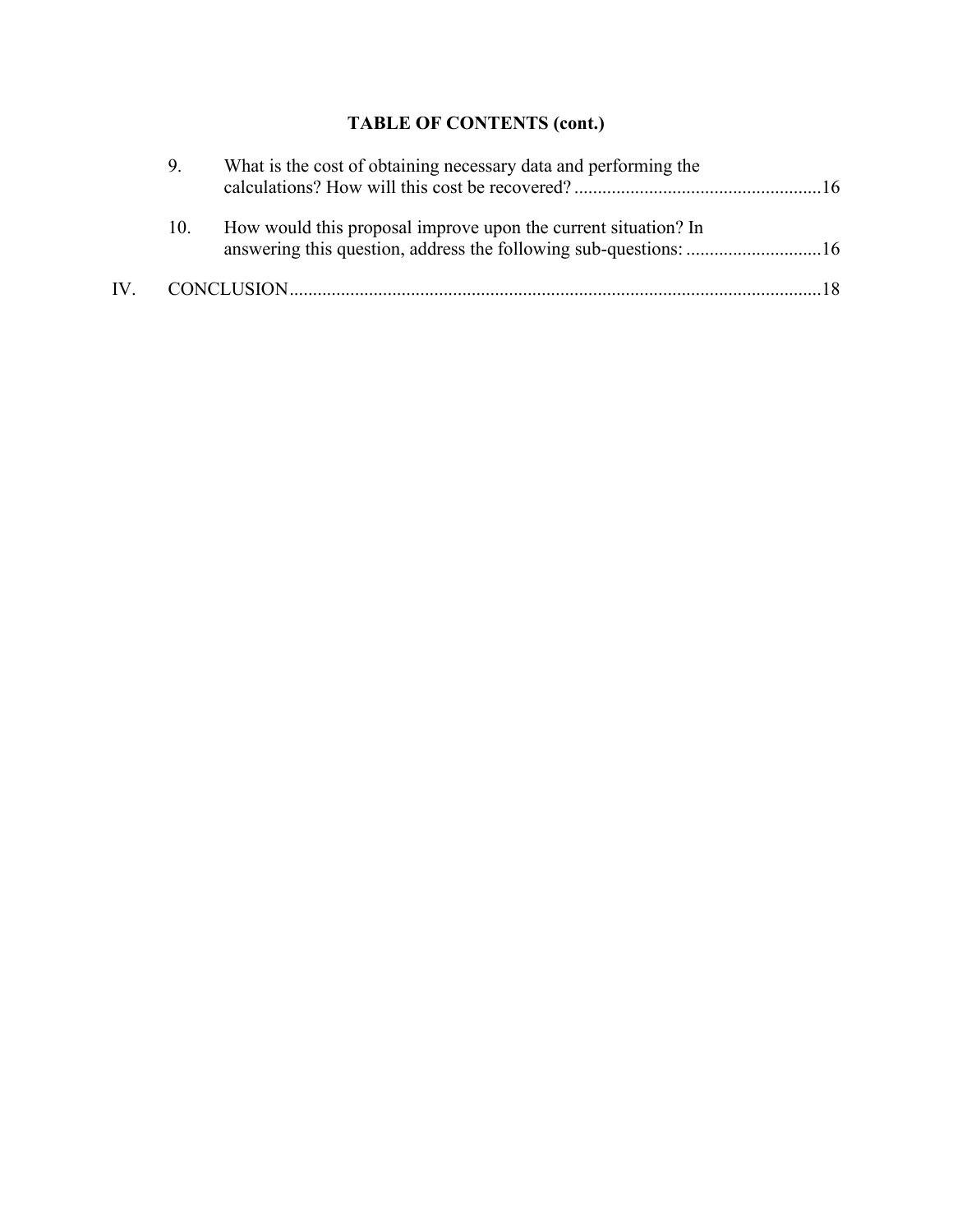# **TABLE OF CONTENTS (cont.)**

| 9.  | What is the cost of obtaining necessary data and performing the |
|-----|-----------------------------------------------------------------|
| 10. | How would this proposal improve upon the current situation? In  |
|     |                                                                 |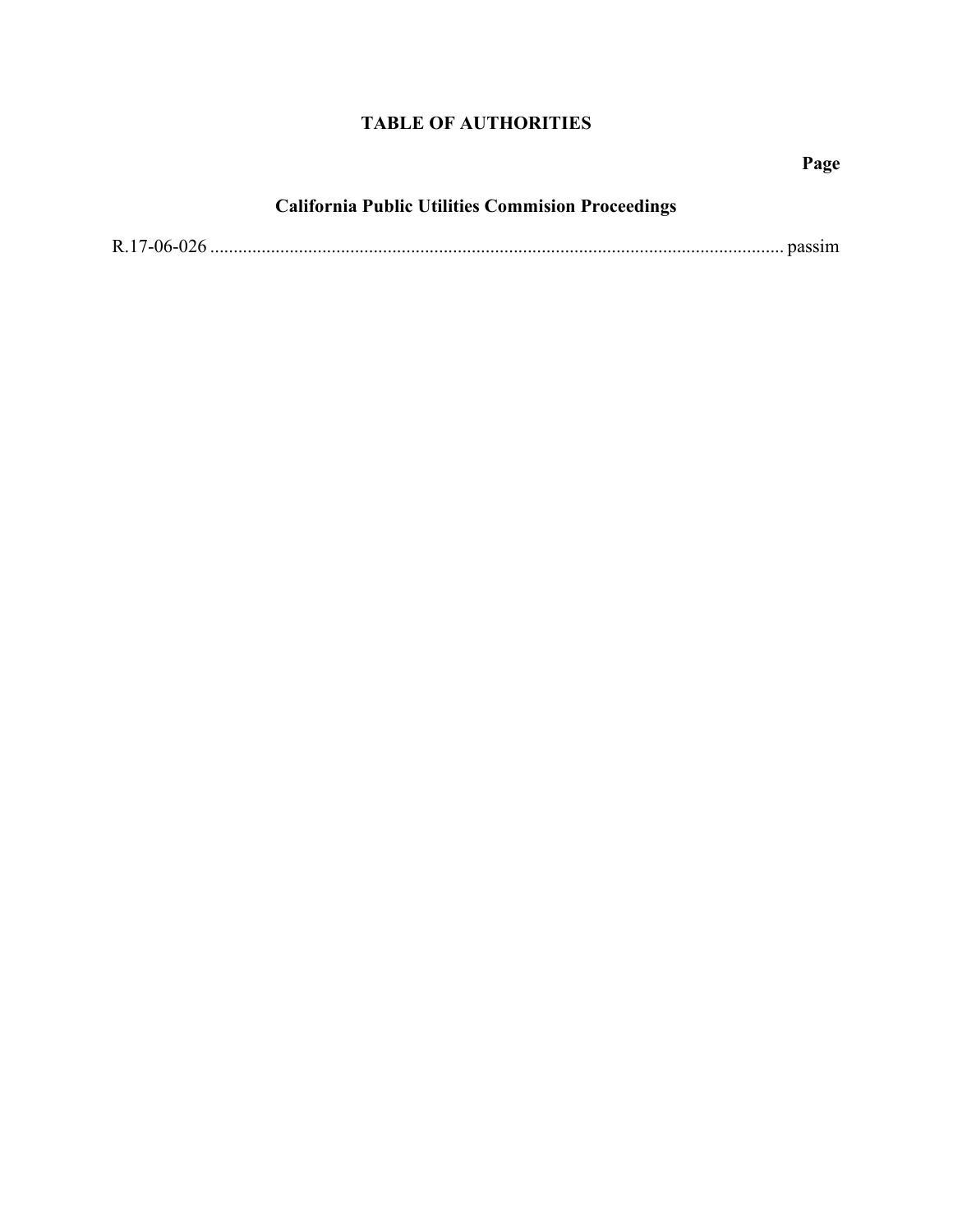# **TABLE OF AUTHORITIES**

**Page** 

# **California Public Utilities Commision Proceedings**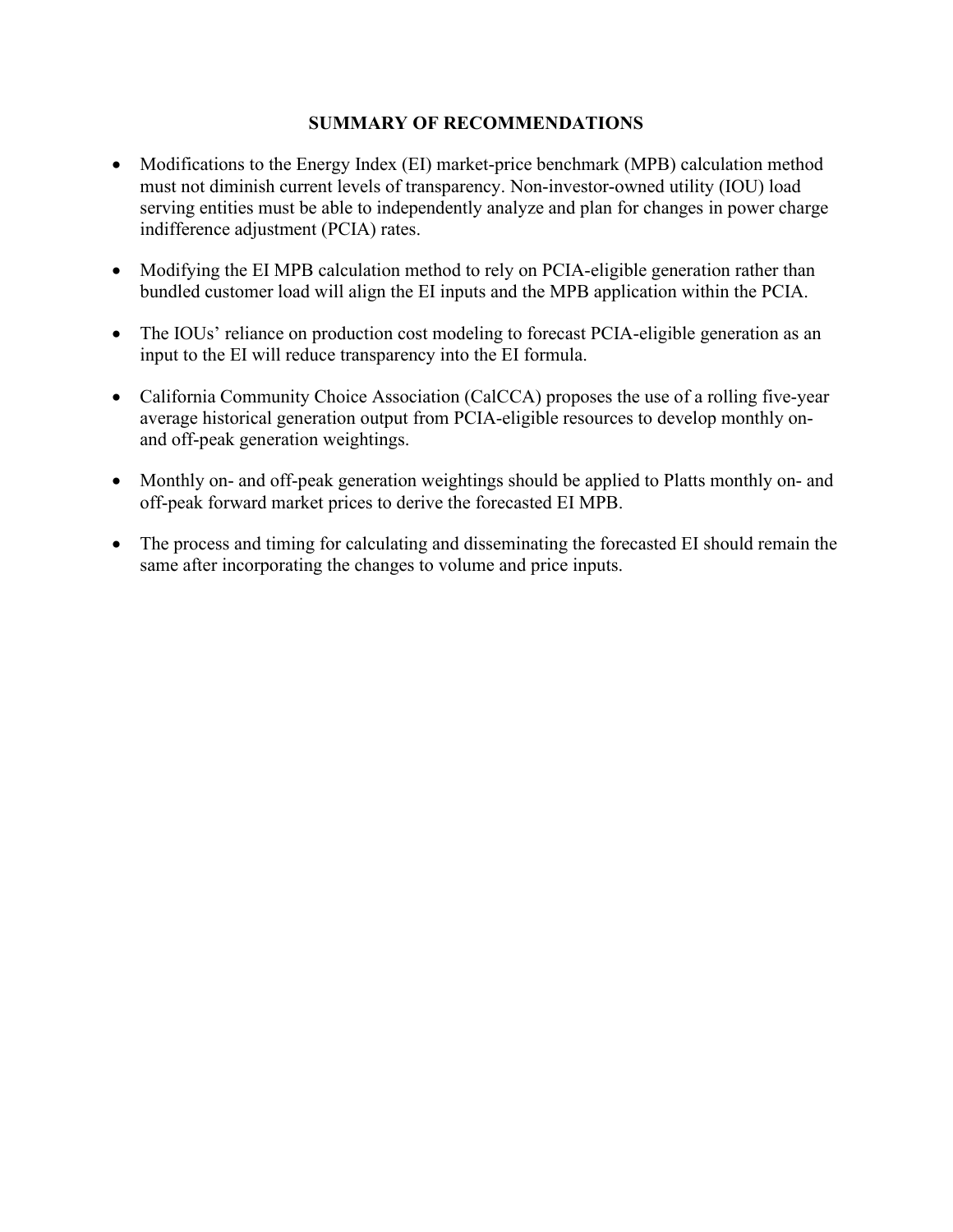#### **SUMMARY OF RECOMMENDATIONS**

- Modifications to the Energy Index (EI) market-price benchmark (MPB) calculation method must not diminish current levels of transparency. Non-investor-owned utility (IOU) load serving entities must be able to independently analyze and plan for changes in power charge indifference adjustment (PCIA) rates.
- Modifying the EI MPB calculation method to rely on PCIA-eligible generation rather than bundled customer load will align the EI inputs and the MPB application within the PCIA.
- The IOUs' reliance on production cost modeling to forecast PCIA-eligible generation as an input to the EI will reduce transparency into the EI formula.
- California Community Choice Association (CalCCA) proposes the use of a rolling five-year average historical generation output from PCIA-eligible resources to develop monthly onand off-peak generation weightings.
- Monthly on- and off-peak generation weightings should be applied to Platts monthly on- and off-peak forward market prices to derive the forecasted EI MPB.
- The process and timing for calculating and disseminating the forecasted EI should remain the same after incorporating the changes to volume and price inputs.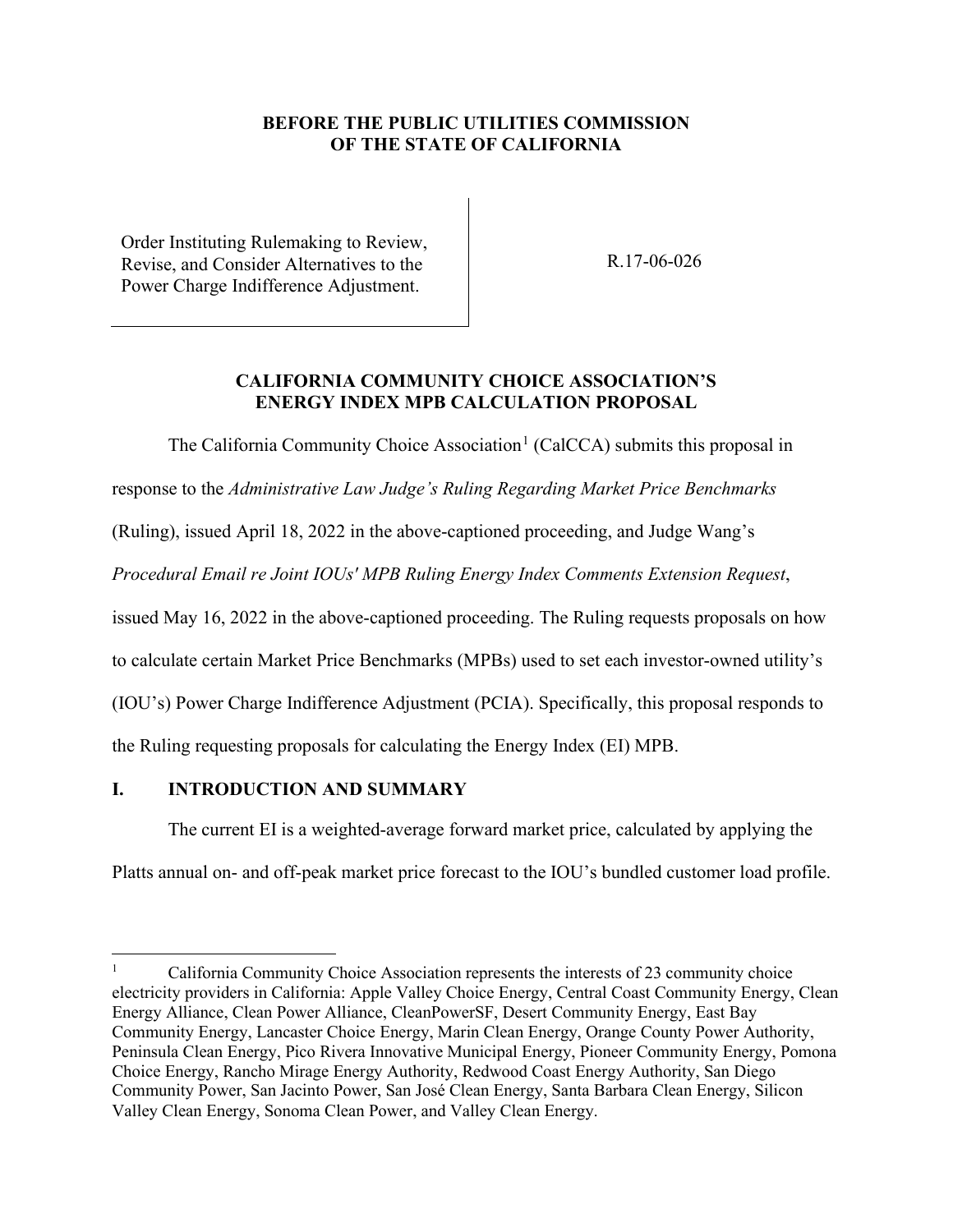#### **BEFORE THE PUBLIC UTILITIES COMMISSION OF THE STATE OF CALIFORNIA**

Order Instituting Rulemaking to Review, Revise, and Consider Alternatives to the Power Charge Indifference Adjustment.

R.17-06-026

#### **CALIFORNIA COMMUNITY CHOICE ASSOCIATION'S ENERGY INDEX MPB CALCULATION PROPOSAL**

The California Community Choice Association<sup>[1](#page-5-1)</sup> (CalCCA) submits this proposal in

response to the *Administrative Law Judge's Ruling Regarding Market Price Benchmarks* 

(Ruling), issued April 18, 2022 in the above-captioned proceeding, and Judge Wang's

*Procedural Email re Joint IOUs' MPB Ruling Energy Index Comments Extension Request*,

issued May 16, 2022 in the above-captioned proceeding. The Ruling requests proposals on how

to calculate certain Market Price Benchmarks (MPBs) used to set each investor-owned utility's

(IOU's) Power Charge Indifference Adjustment (PCIA). Specifically, this proposal responds to

the Ruling requesting proposals for calculating the Energy Index (EI) MPB.

## <span id="page-5-0"></span>**I. INTRODUCTION AND SUMMARY**

The current EI is a weighted-average forward market price, calculated by applying the

Platts annual on- and off-peak market price forecast to the IOU's bundled customer load profile.

<span id="page-5-1"></span><sup>1</sup> California Community Choice Association represents the interests of 23 community choice electricity providers in California: Apple Valley Choice Energy, Central Coast Community Energy, Clean Energy Alliance, Clean Power Alliance, CleanPowerSF, Desert Community Energy, East Bay Community Energy, Lancaster Choice Energy, Marin Clean Energy, Orange County Power Authority, Peninsula Clean Energy, Pico Rivera Innovative Municipal Energy, Pioneer Community Energy, Pomona Choice Energy, Rancho Mirage Energy Authority, Redwood Coast Energy Authority, San Diego Community Power, San Jacinto Power, San José Clean Energy, Santa Barbara Clean Energy, Silicon Valley Clean Energy, Sonoma Clean Power, and Valley Clean Energy.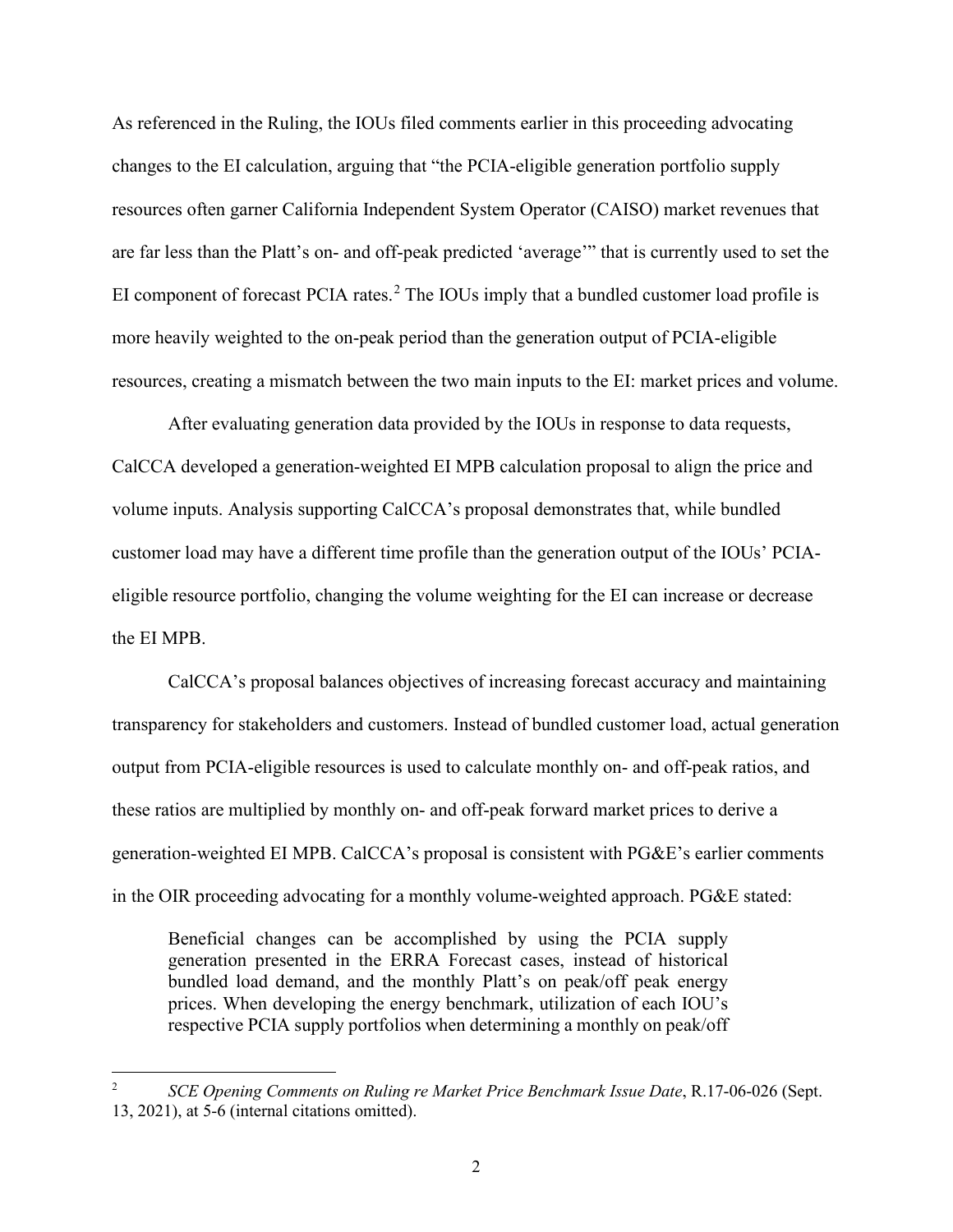As referenced in the Ruling, the IOUs filed comments earlier in this proceeding advocating changes to the EI calculation, arguing that "the PCIA-eligible generation portfolio supply resources often garner California Independent System Operator (CAISO) market revenues that are far less than the Platt's on- and off-peak predicted 'average'" that is currently used to set the EI component of forecast PCIA rates.<sup>[2](#page-6-0)</sup> The IOUs imply that a bundled customer load profile is more heavily weighted to the on-peak period than the generation output of PCIA-eligible resources, creating a mismatch between the two main inputs to the EI: market prices and volume.

After evaluating generation data provided by the IOUs in response to data requests, CalCCA developed a generation-weighted EI MPB calculation proposal to align the price and volume inputs. Analysis supporting CalCCA's proposal demonstrates that, while bundled customer load may have a different time profile than the generation output of the IOUs' PCIAeligible resource portfolio, changing the volume weighting for the EI can increase or decrease the EI MPB.

CalCCA's proposal balances objectives of increasing forecast accuracy and maintaining transparency for stakeholders and customers. Instead of bundled customer load, actual generation output from PCIA-eligible resources is used to calculate monthly on- and off-peak ratios, and these ratios are multiplied by monthly on- and off-peak forward market prices to derive a generation-weighted EI MPB. CalCCA's proposal is consistent with PG&E's earlier comments in the OIR proceeding advocating for a monthly volume-weighted approach. PG&E stated:

Beneficial changes can be accomplished by using the PCIA supply generation presented in the ERRA Forecast cases, instead of historical bundled load demand, and the monthly Platt's on peak/off peak energy prices. When developing the energy benchmark, utilization of each IOU's respective PCIA supply portfolios when determining a monthly on peak/off

<span id="page-6-0"></span><sup>2</sup> *SCE Opening Comments on Ruling re Market Price Benchmark Issue Date*, R.17-06-026 (Sept. 13, 2021), at 5-6 (internal citations omitted).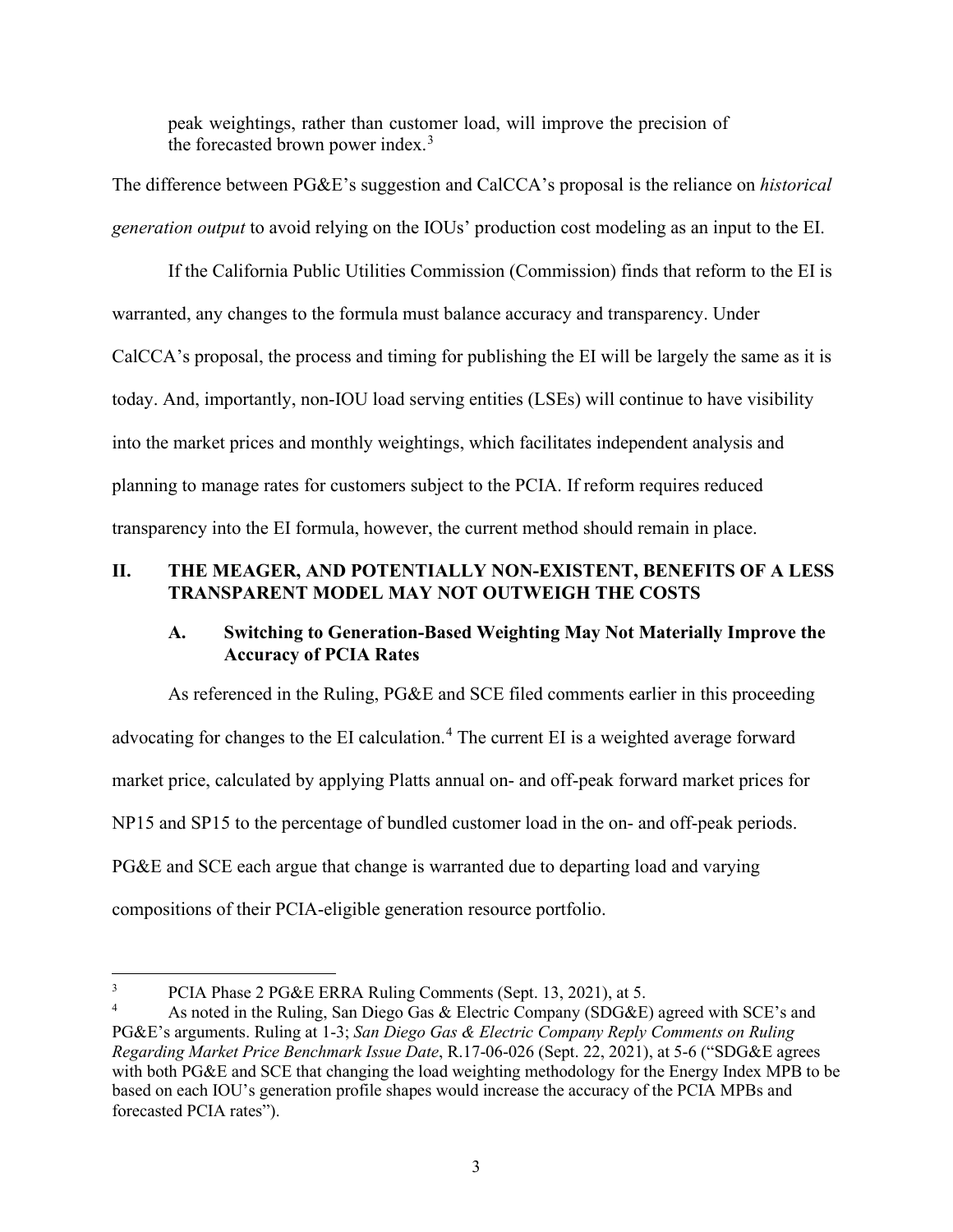peak weightings, rather than customer load, will improve the precision of the forecasted brown power index. $3$ 

The difference between PG&E's suggestion and CalCCA's proposal is the reliance on *historical generation output* to avoid relying on the IOUs' production cost modeling as an input to the EI.

If the California Public Utilities Commission (Commission) finds that reform to the EI is warranted, any changes to the formula must balance accuracy and transparency. Under CalCCA's proposal, the process and timing for publishing the EI will be largely the same as it is today. And, importantly, non-IOU load serving entities (LSEs) will continue to have visibility into the market prices and monthly weightings, which facilitates independent analysis and planning to manage rates for customers subject to the PCIA. If reform requires reduced transparency into the EI formula, however, the current method should remain in place.

## <span id="page-7-0"></span>**II. THE MEAGER, AND POTENTIALLY NON-EXISTENT, BENEFITS OF A LESS TRANSPARENT MODEL MAY NOT OUTWEIGH THE COSTS**

## <span id="page-7-1"></span>**A. Switching to Generation-Based Weighting May Not Materially Improve the Accuracy of PCIA Rates**

As referenced in the Ruling, PG&E and SCE filed comments earlier in this proceeding advocating for changes to the EI calculation.<sup>[4](#page-7-3)</sup> The current EI is a weighted average forward market price, calculated by applying Platts annual on- and off-peak forward market prices for NP15 and SP15 to the percentage of bundled customer load in the on- and off-peak periods. PG&E and SCE each argue that change is warranted due to departing load and varying compositions of their PCIA-eligible generation resource portfolio.

<span id="page-7-2"></span><sup>3</sup> PCIA Phase 2 PG&E ERRA Ruling Comments (Sept. 13, 2021), at 5.

<span id="page-7-3"></span><sup>4</sup> As noted in the Ruling, San Diego Gas & Electric Company (SDG&E) agreed with SCE's and PG&E's arguments. Ruling at 1-3; *San Diego Gas & Electric Company Reply Comments on Ruling Regarding Market Price Benchmark Issue Date*, R.17-06-026 (Sept. 22, 2021), at 5-6 ("SDG&E agrees with both PG&E and SCE that changing the load weighting methodology for the Energy Index MPB to be based on each IOU's generation profile shapes would increase the accuracy of the PCIA MPBs and forecasted PCIA rates").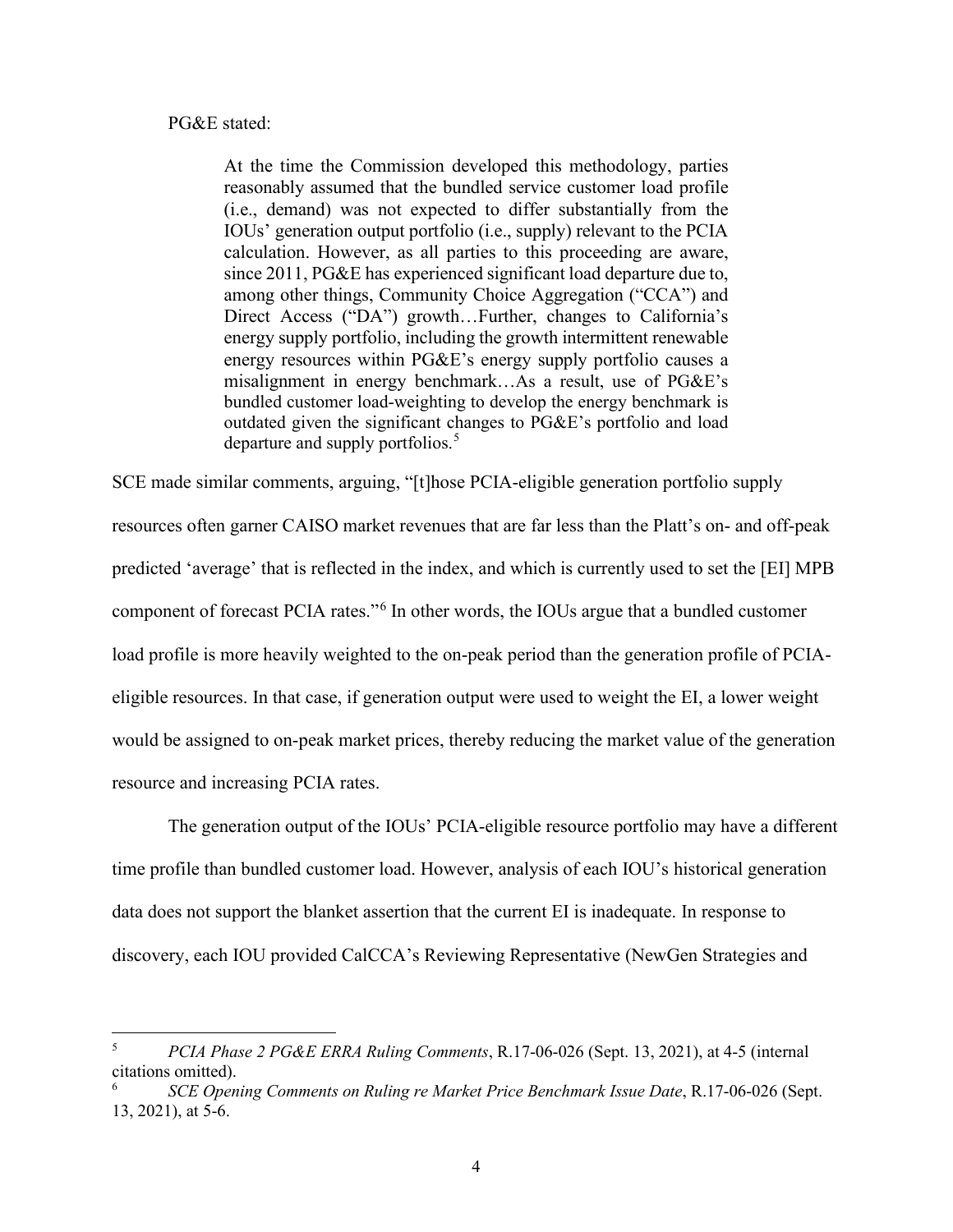#### PG&E stated:

At the time the Commission developed this methodology, parties reasonably assumed that the bundled service customer load profile (i.e., demand) was not expected to differ substantially from the IOUs' generation output portfolio (i.e., supply) relevant to the PCIA calculation. However, as all parties to this proceeding are aware, since 2011, PG&E has experienced significant load departure due to, among other things, Community Choice Aggregation ("CCA") and Direct Access ("DA") growth…Further, changes to California's energy supply portfolio, including the growth intermittent renewable energy resources within PG&E's energy supply portfolio causes a misalignment in energy benchmark…As a result, use of PG&E's bundled customer load-weighting to develop the energy benchmark is outdated given the significant changes to PG&E's portfolio and load departure and supply portfolios.<sup>[5](#page-8-0)</sup>

SCE made similar comments, arguing, "[t]hose PCIA-eligible generation portfolio supply resources often garner CAISO market revenues that are far less than the Platt's on- and off-peak predicted 'average' that is reflected in the index, and which is currently used to set the [EI] MPB component of forecast PCIA rates."<sup>[6](#page-8-1)</sup> In other words, the IOUs argue that a bundled customer load profile is more heavily weighted to the on-peak period than the generation profile of PCIAeligible resources. In that case, if generation output were used to weight the EI, a lower weight would be assigned to on-peak market prices, thereby reducing the market value of the generation resource and increasing PCIA rates.

 The generation output of the IOUs' PCIA-eligible resource portfolio may have a different time profile than bundled customer load. However, analysis of each IOU's historical generation data does not support the blanket assertion that the current EI is inadequate. In response to discovery, each IOU provided CalCCA's Reviewing Representative (NewGen Strategies and

<span id="page-8-0"></span><sup>5</sup> *PCIA Phase 2 PG&E ERRA Ruling Comments*, R.17-06-026 (Sept. 13, 2021), at 4-5 (internal citations omitted).

<span id="page-8-1"></span>*SCE Opening Comments on Ruling re Market Price Benchmark Issue Date*, R.17-06-026 (Sept. 13, 2021), at 5-6.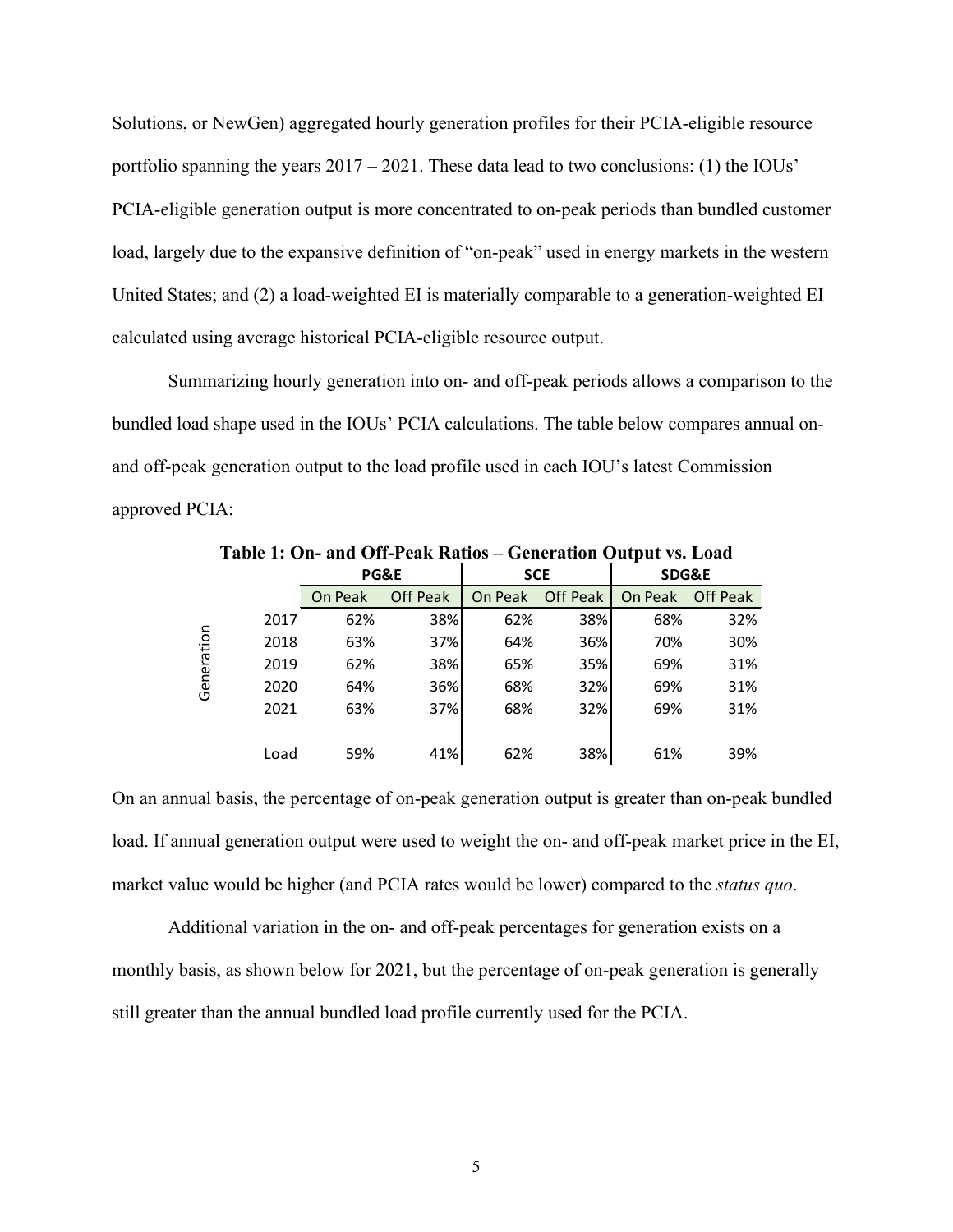Solutions, or NewGen) aggregated hourly generation profiles for their PCIA-eligible resource portfolio spanning the years 2017 – 2021. These data lead to two conclusions: (1) the IOUs' PCIA-eligible generation output is more concentrated to on-peak periods than bundled customer load, largely due to the expansive definition of "on-peak" used in energy markets in the western United States; and (2) a load-weighted EI is materially comparable to a generation-weighted EI calculated using average historical PCIA-eligible resource output.

Summarizing hourly generation into on- and off-peak periods allows a comparison to the bundled load shape used in the IOUs' PCIA calculations. The table below compares annual onand off-peak generation output to the load profile used in each IOU's latest Commission approved PCIA:

|            |      |                 |                 |            |                 | . .              |          |  |
|------------|------|-----------------|-----------------|------------|-----------------|------------------|----------|--|
|            |      | <b>PG&amp;E</b> |                 | <b>SCE</b> |                 | <b>SDG&amp;E</b> |          |  |
|            |      | On Peak         | <b>Off Peak</b> | On Peak    | <b>Off Peak</b> | On Peak          | Off Peak |  |
|            | 2017 | 62%             | 38%             | 62%        | 38%             | 68%              | 32%      |  |
|            | 2018 | 63%             | 37%             | 64%        | 36%             | 70%              | 30%      |  |
|            | 2019 | 62%             | 38%             | 65%        | 35%             | 69%              | 31%      |  |
| Generation | 2020 | 64%             | 36%             | 68%        | 32%             | 69%              | 31%      |  |
|            | 2021 | 63%             | 37%             | 68%        | 32%             | 69%              | 31%      |  |
|            |      |                 |                 |            |                 |                  |          |  |
|            | Load | 59%             | 41%             | 62%        | 38%             | 61%              | 39%      |  |

**Table 1: On- and Off-Peak Ratios – Generation Output vs. Load**

On an annual basis, the percentage of on-peak generation output is greater than on-peak bundled load. If annual generation output were used to weight the on- and off-peak market price in the EI, market value would be higher (and PCIA rates would be lower) compared to the *status quo*.

Additional variation in the on- and off-peak percentages for generation exists on a monthly basis, as shown below for 2021, but the percentage of on-peak generation is generally still greater than the annual bundled load profile currently used for the PCIA.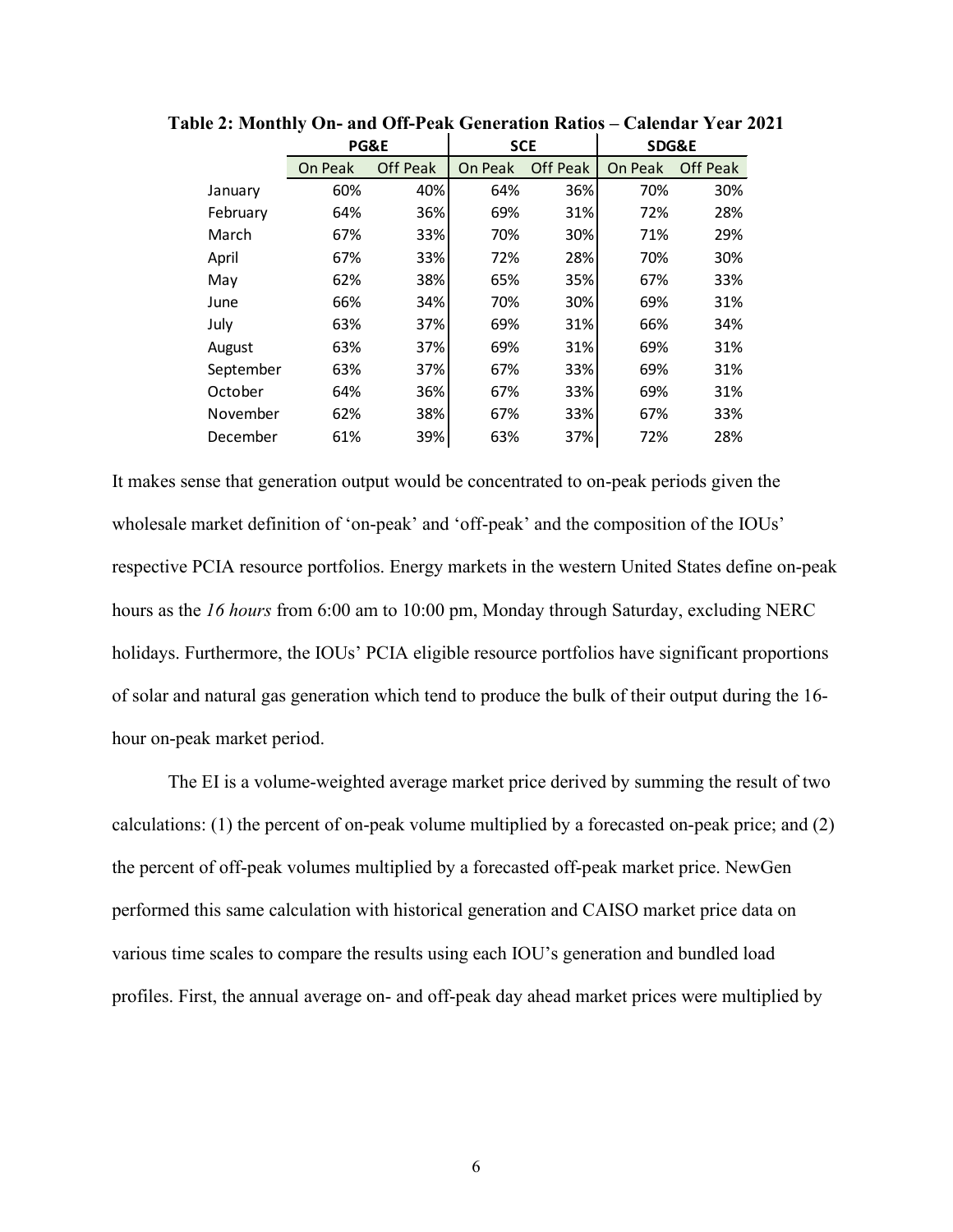|           | <b>PG&amp;E</b>            |     | <b>SCE</b> |                 | <b>SDG&amp;E</b> |                 |  |
|-----------|----------------------------|-----|------------|-----------------|------------------|-----------------|--|
|           | <b>Off Peak</b><br>On Peak |     | On Peak    | <b>Off Peak</b> | On Peak          | <b>Off Peak</b> |  |
| January   | 60%                        | 40% | 64%        | 36%             | 70%              | 30%             |  |
| February  | 64%                        | 36% | 69%        | 31%             | 72%              | 28%             |  |
| March     | 67%                        | 33% | 70%        | 30%             | 71%              | 29%             |  |
| April     | 67%                        | 33% | 72%        | 28%             | 70%              | 30%             |  |
| May       | 62%                        | 38% | 65%        | 35%             | 67%              | 33%             |  |
| June      | 66%                        | 34% | 70%        | 30%             | 69%              | 31%             |  |
| July      | 63%                        | 37% | 69%        | 31%             | 66%              | 34%             |  |
| August    | 63%                        | 37% | 69%        | 31%             | 69%              | 31%             |  |
| September | 63%                        | 37% | 67%        | 33%             | 69%              | 31%             |  |
| October   | 64%                        | 36% | 67%        | 33%             | 69%              | 31%             |  |
| November  | 62%                        | 38% | 67%        | 33%             | 67%              | 33%             |  |
| December  | 61%                        | 39% | 63%        | 37%             | 72%              | 28%             |  |

**Table 2: Monthly On- and Off-Peak Generation Ratios – Calendar Year 2021** 

It makes sense that generation output would be concentrated to on-peak periods given the wholesale market definition of 'on-peak' and 'off-peak' and the composition of the IOUs' respective PCIA resource portfolios. Energy markets in the western United States define on-peak hours as the *16 hours* from 6:00 am to 10:00 pm, Monday through Saturday, excluding NERC holidays. Furthermore, the IOUs' PCIA eligible resource portfolios have significant proportions of solar and natural gas generation which tend to produce the bulk of their output during the 16 hour on-peak market period.

The EI is a volume-weighted average market price derived by summing the result of two calculations: (1) the percent of on-peak volume multiplied by a forecasted on-peak price; and (2) the percent of off-peak volumes multiplied by a forecasted off-peak market price. NewGen performed this same calculation with historical generation and CAISO market price data on various time scales to compare the results using each IOU's generation and bundled load profiles. First, the annual average on- and off-peak day ahead market prices were multiplied by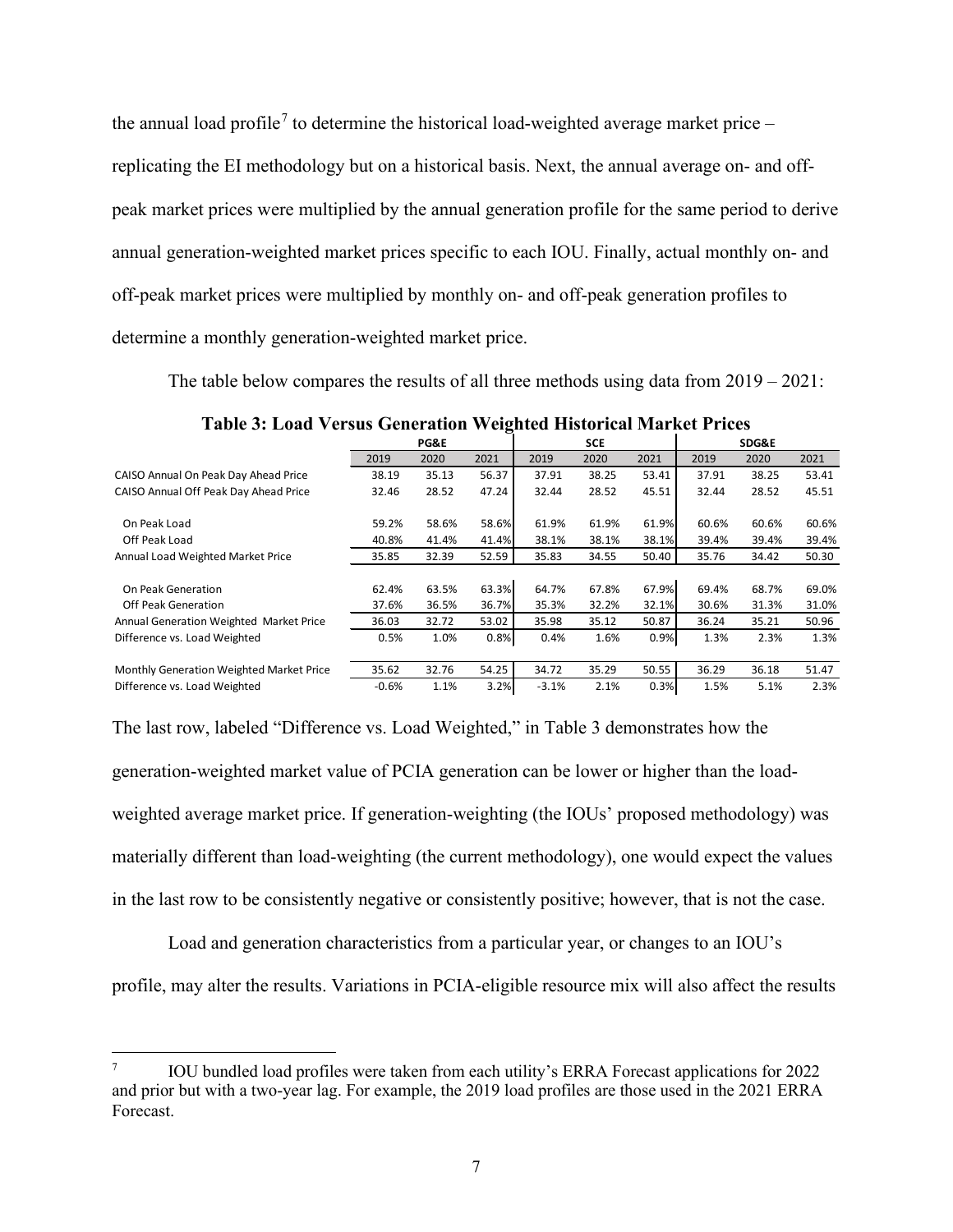the annual load profile<sup>[7](#page-11-0)</sup> to determine the historical load-weighted average market price – replicating the EI methodology but on a historical basis. Next, the annual average on- and offpeak market prices were multiplied by the annual generation profile for the same period to derive annual generation-weighted market prices specific to each IOU. Finally, actual monthly on- and off-peak market prices were multiplied by monthly on- and off-peak generation profiles to determine a monthly generation-weighted market price.

The table below compares the results of all three methods using data from 2019 – 2021:

|                                          | <b>PG&amp;E</b> |       | <b>SCE</b> |         |       | <b>SDG&amp;E</b> |       |       |       |
|------------------------------------------|-----------------|-------|------------|---------|-------|------------------|-------|-------|-------|
|                                          | 2019            | 2020  | 2021       | 2019    | 2020  | 2021             | 2019  | 2020  | 2021  |
| CAISO Annual On Peak Day Ahead Price     | 38.19           | 35.13 | 56.37      | 37.91   | 38.25 | 53.41            | 37.91 | 38.25 | 53.41 |
| CAISO Annual Off Peak Day Ahead Price    | 32.46           | 28.52 | 47.24      | 32.44   | 28.52 | 45.51            | 32.44 | 28.52 | 45.51 |
| On Peak Load                             | 59.2%           | 58.6% | 58.6%      | 61.9%   | 61.9% | 61.9%            | 60.6% | 60.6% | 60.6% |
| Off Peak Load                            | 40.8%           | 41.4% | 41.4%      | 38.1%   | 38.1% | 38.1%            | 39.4% | 39.4% | 39.4% |
| Annual Load Weighted Market Price        | 35.85           | 32.39 | 52.59      | 35.83   | 34.55 | 50.40            | 35.76 | 34.42 | 50.30 |
| On Peak Generation                       | 62.4%           | 63.5% | 63.3%      | 64.7%   | 67.8% | 67.9%            | 69.4% | 68.7% | 69.0% |
| Off Peak Generation                      | 37.6%           | 36.5% | 36.7%      | 35.3%   | 32.2% | 32.1%            | 30.6% | 31.3% | 31.0% |
| Annual Generation Weighted Market Price  | 36.03           | 32.72 | 53.02      | 35.98   | 35.12 | 50.87            | 36.24 | 35.21 | 50.96 |
| Difference vs. Load Weighted             | 0.5%            | 1.0%  | 0.8%       | 0.4%    | 1.6%  | 0.9%             | 1.3%  | 2.3%  | 1.3%  |
| Monthly Generation Weighted Market Price | 35.62           | 32.76 | 54.25      | 34.72   | 35.29 | 50.55            | 36.29 | 36.18 | 51.47 |
| Difference vs. Load Weighted             | $-0.6%$         | 1.1%  | 3.2%       | $-3.1%$ | 2.1%  | 0.3%             | 1.5%  | 5.1%  | 2.3%  |

**Table 3: Load Versus Generation Weighted Historical Market Prices**

The last row, labeled "Difference vs. Load Weighted," in Table 3 demonstrates how the generation-weighted market value of PCIA generation can be lower or higher than the loadweighted average market price. If generation-weighting (the IOUs' proposed methodology) was materially different than load-weighting (the current methodology), one would expect the values in the last row to be consistently negative or consistently positive; however, that is not the case.

Load and generation characteristics from a particular year, or changes to an IOU's profile, may alter the results. Variations in PCIA-eligible resource mix will also affect the results

<span id="page-11-0"></span><sup>7</sup> IOU bundled load profiles were taken from each utility's ERRA Forecast applications for 2022 and prior but with a two-year lag. For example, the 2019 load profiles are those used in the 2021 ERRA Forecast.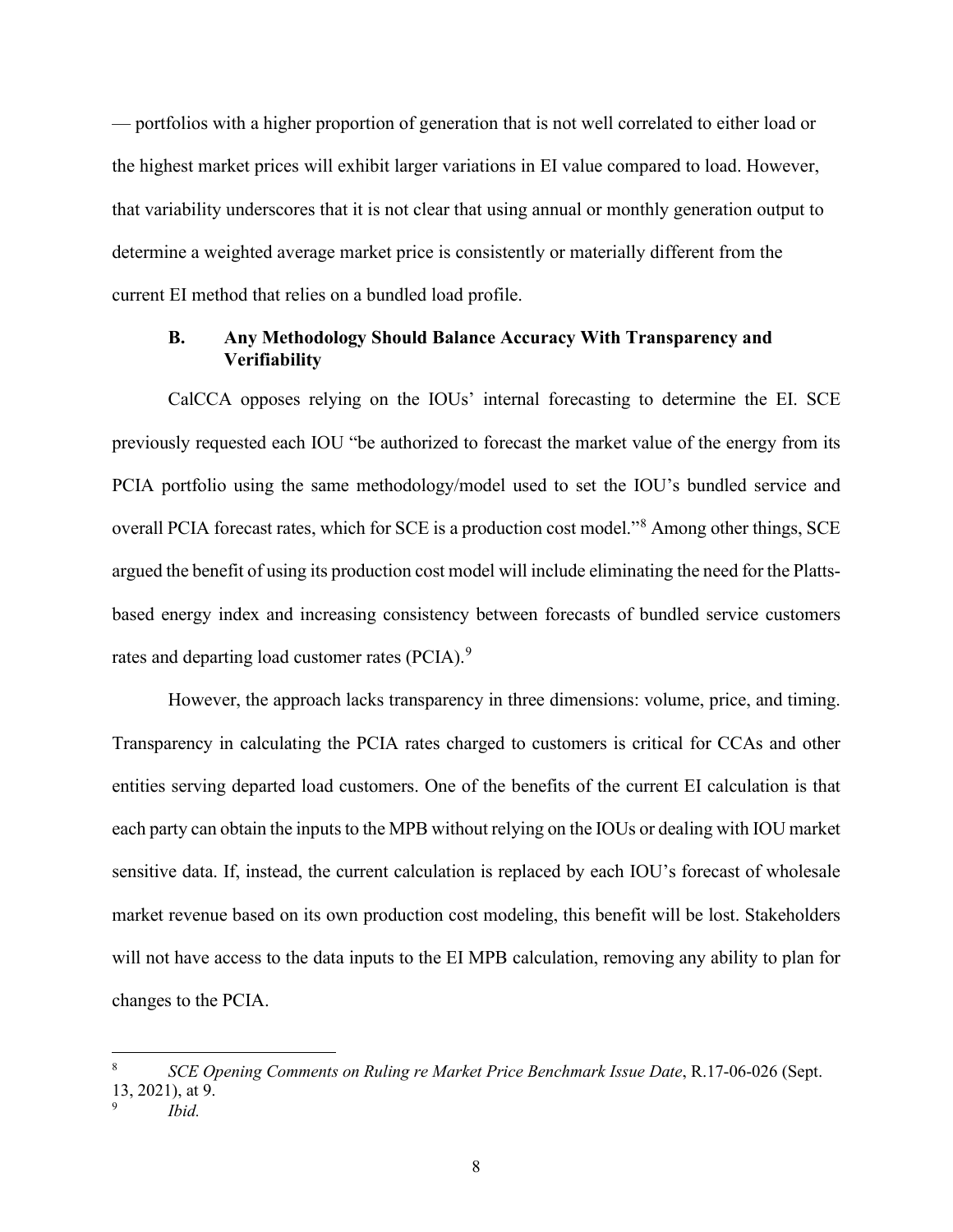— portfolios with a higher proportion of generation that is not well correlated to either load or the highest market prices will exhibit larger variations in EI value compared to load. However, that variability underscores that it is not clear that using annual or monthly generation output to determine a weighted average market price is consistently or materially different from the current EI method that relies on a bundled load profile.

#### <span id="page-12-0"></span>**B. Any Methodology Should Balance Accuracy With Transparency and Verifiability**

CalCCA opposes relying on the IOUs' internal forecasting to determine the EI. SCE previously requested each IOU "be authorized to forecast the market value of the energy from its PCIA portfolio using the same methodology/model used to set the IOU's bundled service and overall PCIA forecast rates, which for SCE is a production cost model."[8](#page-12-1) Among other things, SCE argued the benefit of using its production cost model will include eliminating the need for the Plattsbased energy index and increasing consistency between forecasts of bundled service customers rates and departing load customer rates (PCIA).<sup>[9](#page-12-2)</sup>

However, the approach lacks transparency in three dimensions: volume, price, and timing. Transparency in calculating the PCIA rates charged to customers is critical for CCAs and other entities serving departed load customers. One of the benefits of the current EI calculation is that each party can obtain the inputs to the MPB without relying on the IOUs or dealing with IOU market sensitive data. If, instead, the current calculation is replaced by each IOU's forecast of wholesale market revenue based on its own production cost modeling, this benefit will be lost. Stakeholders will not have access to the data inputs to the EI MPB calculation, removing any ability to plan for changes to the PCIA.

<span id="page-12-1"></span><sup>8</sup> *SCE Opening Comments on Ruling re Market Price Benchmark Issue Date*, R.17-06-026 (Sept.  $13, 2021$ , at 9.

<span id="page-12-2"></span>*Ibid.*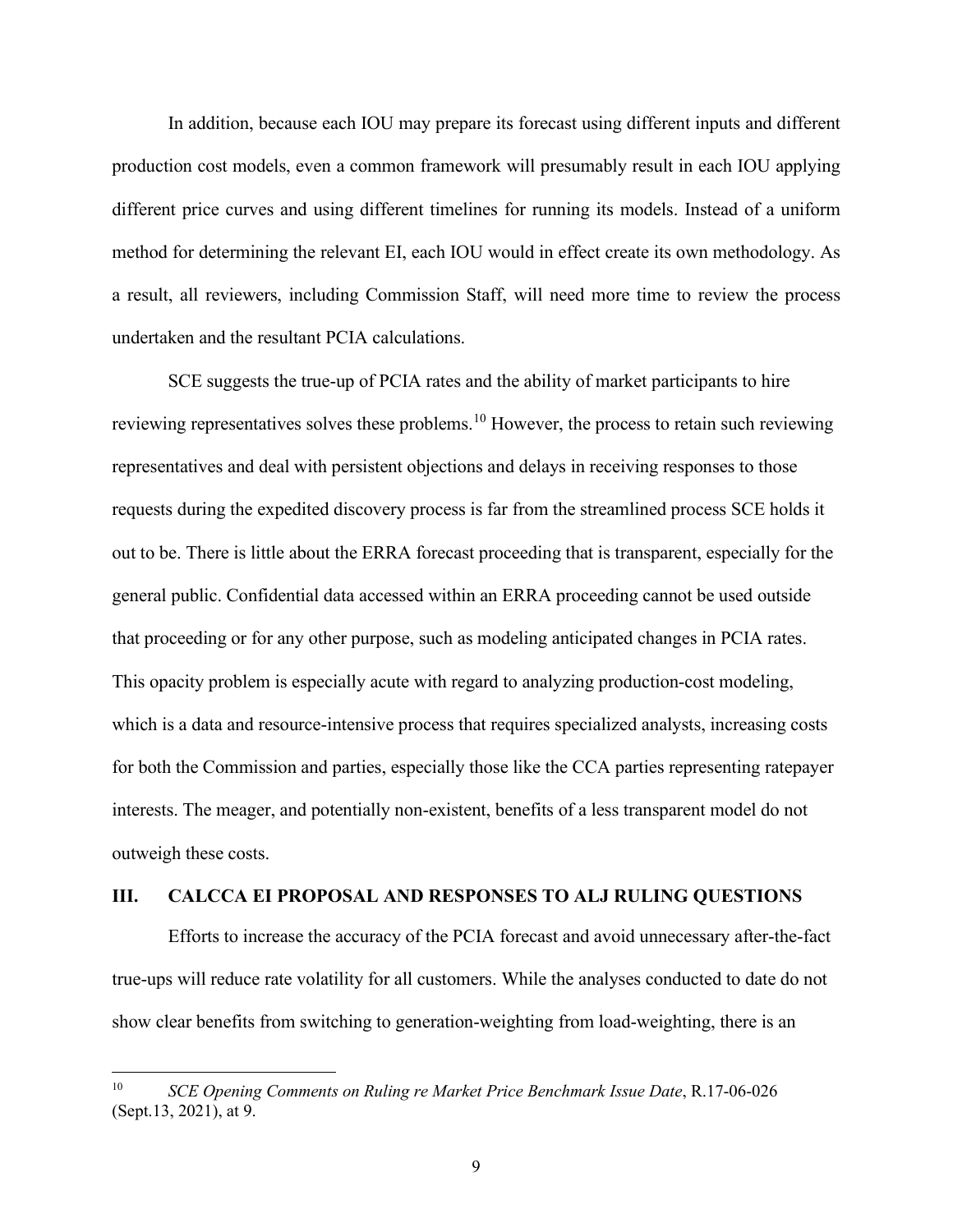In addition, because each IOU may prepare its forecast using different inputs and different production cost models, even a common framework will presumably result in each IOU applying different price curves and using different timelines for running its models. Instead of a uniform method for determining the relevant EI, each IOU would in effect create its own methodology. As a result, all reviewers, including Commission Staff, will need more time to review the process undertaken and the resultant PCIA calculations.

SCE suggests the true-up of PCIA rates and the ability of market participants to hire reviewing representatives solves these problems.<sup>[10](#page-13-1)</sup> However, the process to retain such reviewing representatives and deal with persistent objections and delays in receiving responses to those requests during the expedited discovery process is far from the streamlined process SCE holds it out to be. There is little about the ERRA forecast proceeding that is transparent, especially for the general public. Confidential data accessed within an ERRA proceeding cannot be used outside that proceeding or for any other purpose, such as modeling anticipated changes in PCIA rates. This opacity problem is especially acute with regard to analyzing production-cost modeling, which is a data and resource-intensive process that requires specialized analysts, increasing costs for both the Commission and parties, especially those like the CCA parties representing ratepayer interests. The meager, and potentially non-existent, benefits of a less transparent model do not outweigh these costs.

#### <span id="page-13-0"></span>**III. CALCCA EI PROPOSAL AND RESPONSES TO ALJ RULING QUESTIONS**

Efforts to increase the accuracy of the PCIA forecast and avoid unnecessary after-the-fact true-ups will reduce rate volatility for all customers. While the analyses conducted to date do not show clear benefits from switching to generation-weighting from load-weighting, there is an

<span id="page-13-1"></span><sup>&</sup>lt;sup>10</sup> SCE Opening Comments on Ruling re Market Price Benchmark Issue Date, R.17-06-026 (Sept.13, 2021), at 9.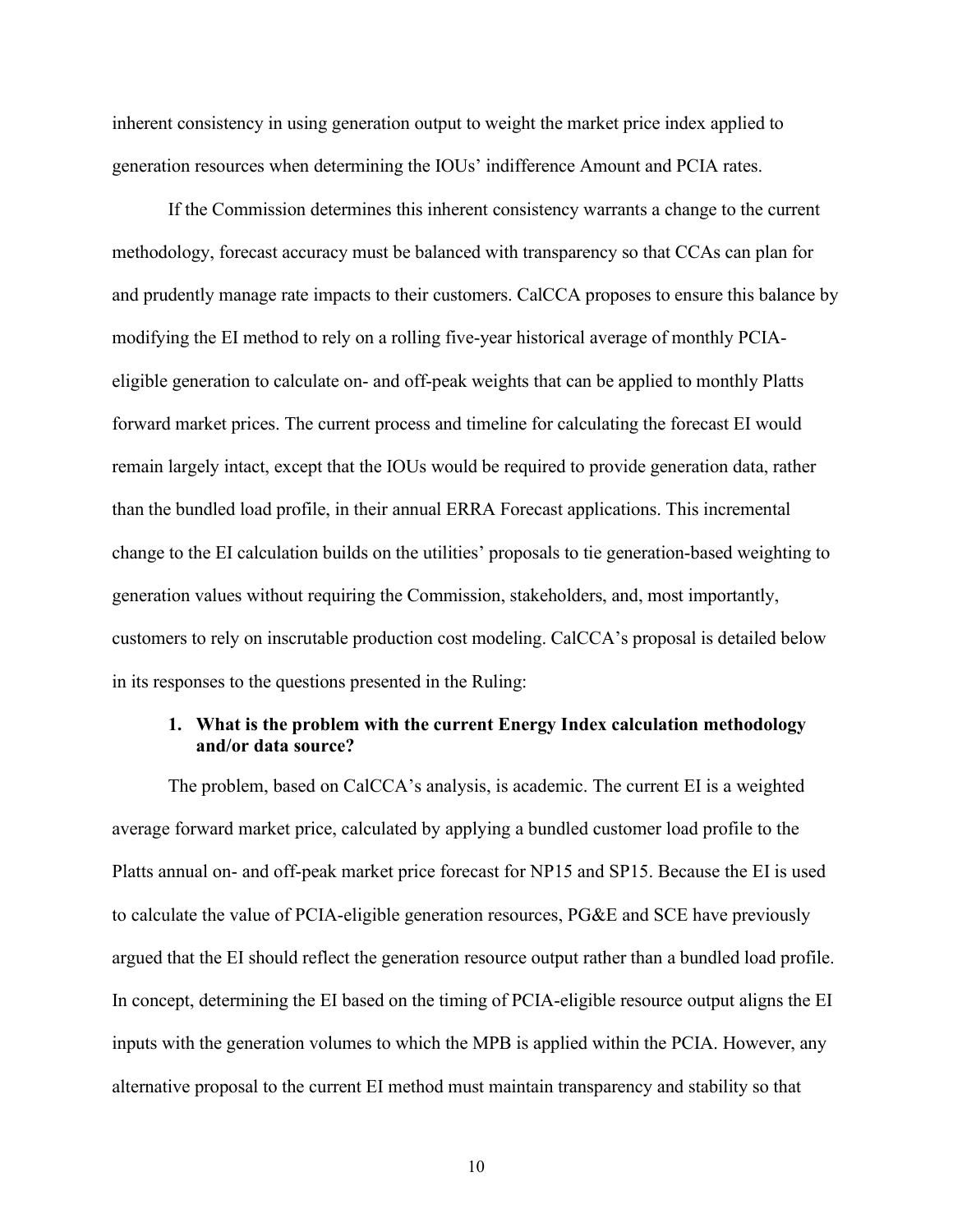inherent consistency in using generation output to weight the market price index applied to generation resources when determining the IOUs' indifference Amount and PCIA rates.

If the Commission determines this inherent consistency warrants a change to the current methodology, forecast accuracy must be balanced with transparency so that CCAs can plan for and prudently manage rate impacts to their customers. CalCCA proposes to ensure this balance by modifying the EI method to rely on a rolling five-year historical average of monthly PCIAeligible generation to calculate on- and off-peak weights that can be applied to monthly Platts forward market prices. The current process and timeline for calculating the forecast EI would remain largely intact, except that the IOUs would be required to provide generation data, rather than the bundled load profile, in their annual ERRA Forecast applications. This incremental change to the EI calculation builds on the utilities' proposals to tie generation-based weighting to generation values without requiring the Commission, stakeholders, and, most importantly, customers to rely on inscrutable production cost modeling. CalCCA's proposal is detailed below in its responses to the questions presented in the Ruling:

#### <span id="page-14-0"></span>**1. What is the problem with the current Energy Index calculation methodology and/or data source?**

The problem, based on CalCCA's analysis, is academic. The current EI is a weighted average forward market price, calculated by applying a bundled customer load profile to the Platts annual on- and off-peak market price forecast for NP15 and SP15. Because the EI is used to calculate the value of PCIA-eligible generation resources, PG&E and SCE have previously argued that the EI should reflect the generation resource output rather than a bundled load profile. In concept, determining the EI based on the timing of PCIA-eligible resource output aligns the EI inputs with the generation volumes to which the MPB is applied within the PCIA. However, any alternative proposal to the current EI method must maintain transparency and stability so that

10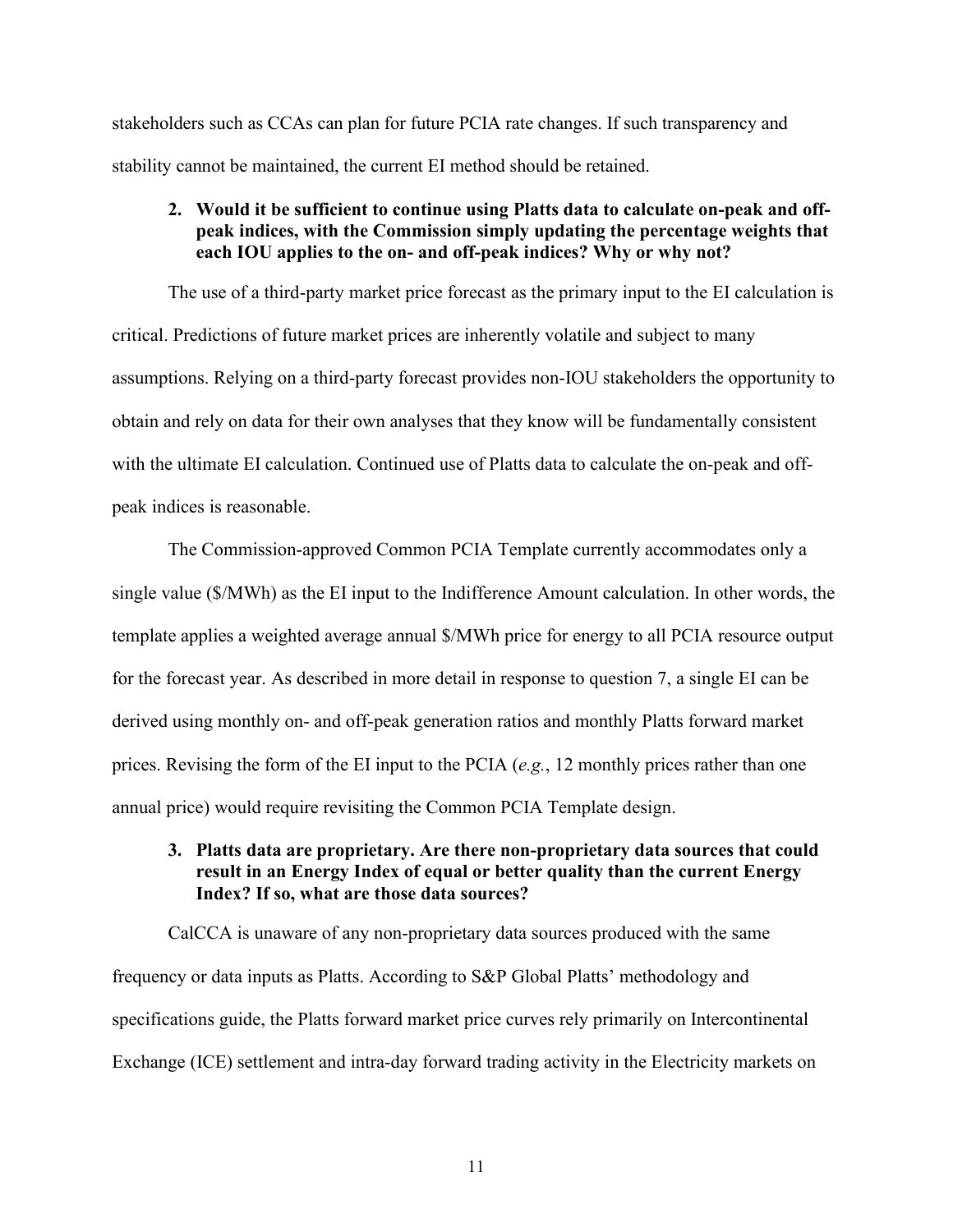stakeholders such as CCAs can plan for future PCIA rate changes. If such transparency and stability cannot be maintained, the current EI method should be retained.

#### <span id="page-15-0"></span>**2. Would it be sufficient to continue using Platts data to calculate on-peak and offpeak indices, with the Commission simply updating the percentage weights that each IOU applies to the on- and off-peak indices? Why or why not?**

The use of a third-party market price forecast as the primary input to the EI calculation is critical. Predictions of future market prices are inherently volatile and subject to many assumptions. Relying on a third-party forecast provides non-IOU stakeholders the opportunity to obtain and rely on data for their own analyses that they know will be fundamentally consistent with the ultimate EI calculation. Continued use of Platts data to calculate the on-peak and offpeak indices is reasonable.

The Commission-approved Common PCIA Template currently accommodates only a single value (\$/MWh) as the EI input to the Indifference Amount calculation. In other words, the template applies a weighted average annual \$/MWh price for energy to all PCIA resource output for the forecast year. As described in more detail in response to question 7, a single EI can be derived using monthly on- and off-peak generation ratios and monthly Platts forward market prices. Revising the form of the EI input to the PCIA (*e.g.*, 12 monthly prices rather than one annual price) would require revisiting the Common PCIA Template design.

#### <span id="page-15-1"></span>**3. Platts data are proprietary. Are there non-proprietary data sources that could result in an Energy Index of equal or better quality than the current Energy Index? If so, what are those data sources?**

CalCCA is unaware of any non-proprietary data sources produced with the same frequency or data inputs as Platts. According to S&P Global Platts' methodology and specifications guide, the Platts forward market price curves rely primarily on Intercontinental Exchange (ICE) settlement and intra-day forward trading activity in the Electricity markets on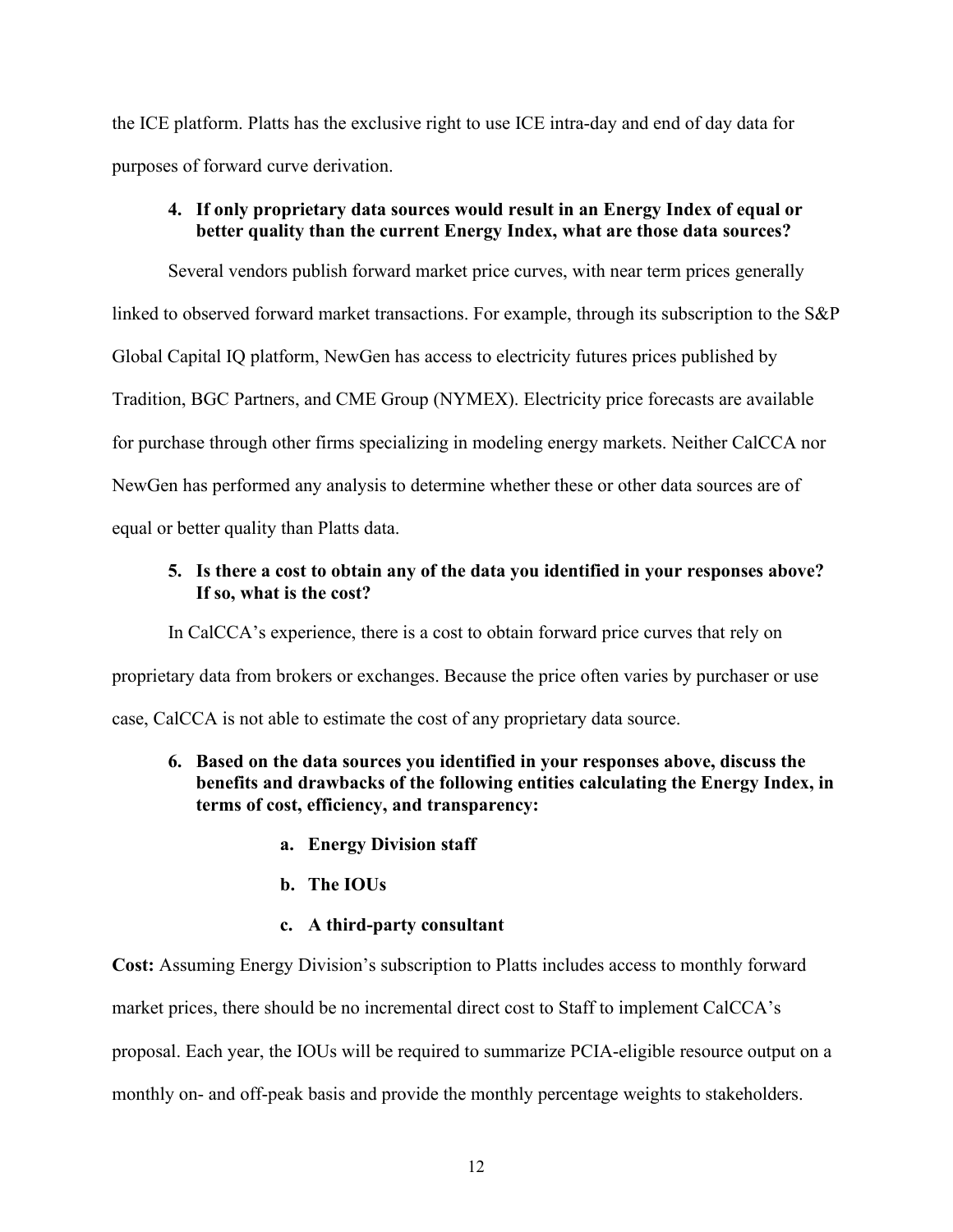the ICE platform. Platts has the exclusive right to use ICE intra-day and end of day data for purposes of forward curve derivation.

#### <span id="page-16-0"></span>**4. If only proprietary data sources would result in an Energy Index of equal or better quality than the current Energy Index, what are those data sources?**

Several vendors publish forward market price curves, with near term prices generally linked to observed forward market transactions. For example, through its subscription to the S&P Global Capital IQ platform, NewGen has access to electricity futures prices published by Tradition, BGC Partners, and CME Group (NYMEX). Electricity price forecasts are available for purchase through other firms specializing in modeling energy markets. Neither CalCCA nor NewGen has performed any analysis to determine whether these or other data sources are of equal or better quality than Platts data.

#### <span id="page-16-1"></span>**5. Is there a cost to obtain any of the data you identified in your responses above? If so, what is the cost?**

In CalCCA's experience, there is a cost to obtain forward price curves that rely on proprietary data from brokers or exchanges. Because the price often varies by purchaser or use case, CalCCA is not able to estimate the cost of any proprietary data source.

- <span id="page-16-2"></span>**6. Based on the data sources you identified in your responses above, discuss the benefits and drawbacks of the following entities calculating the Energy Index, in terms of cost, efficiency, and transparency:**
	- **a. Energy Division staff**
	- **b. The IOUs**
	- **c. A third-party consultant**

**Cost:** Assuming Energy Division's subscription to Platts includes access to monthly forward market prices, there should be no incremental direct cost to Staff to implement CalCCA's proposal. Each year, the IOUs will be required to summarize PCIA-eligible resource output on a monthly on- and off-peak basis and provide the monthly percentage weights to stakeholders.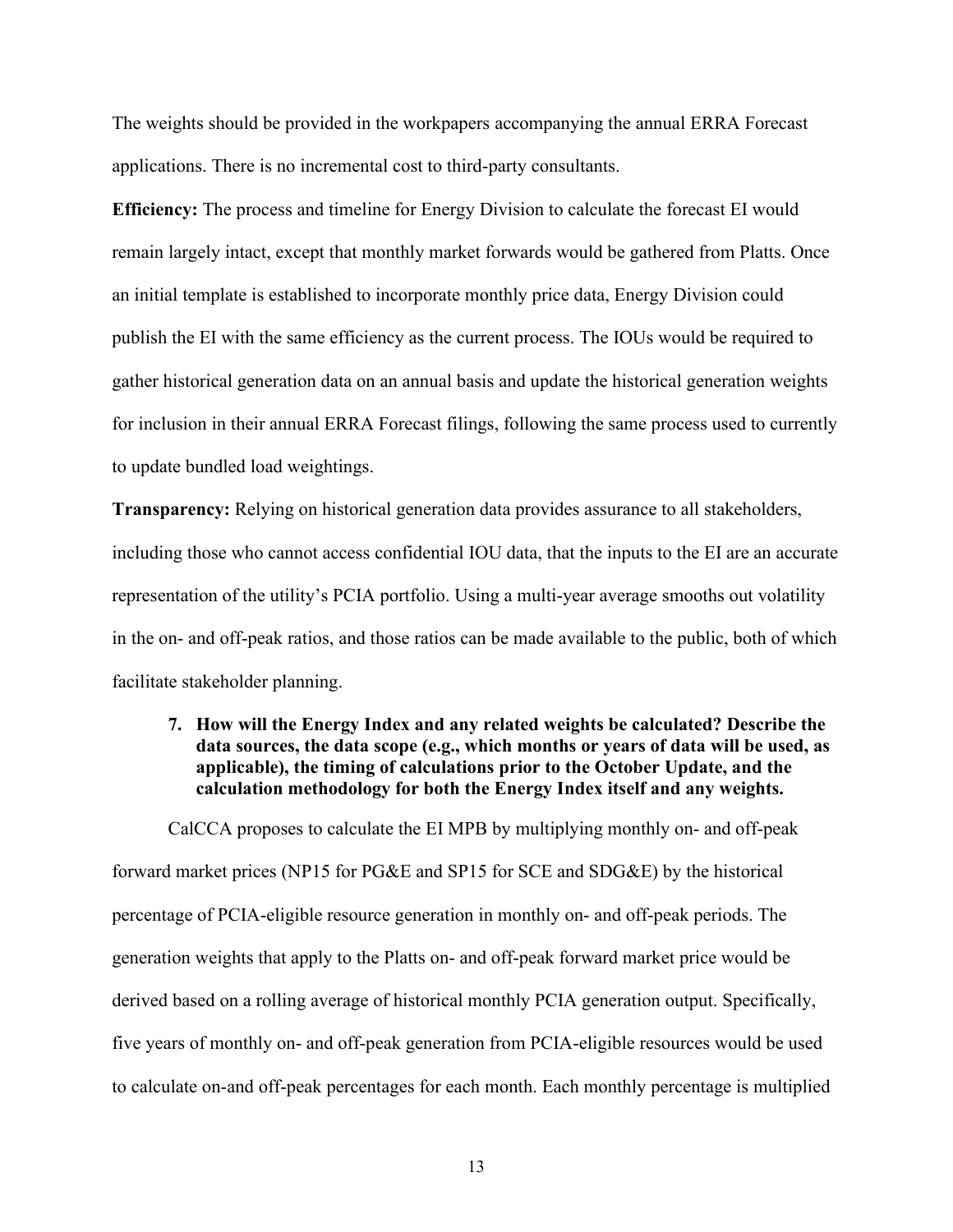The weights should be provided in the workpapers accompanying the annual ERRA Forecast applications. There is no incremental cost to third-party consultants.

**Efficiency:** The process and timeline for Energy Division to calculate the forecast EI would remain largely intact, except that monthly market forwards would be gathered from Platts. Once an initial template is established to incorporate monthly price data, Energy Division could publish the EI with the same efficiency as the current process. The IOUs would be required to gather historical generation data on an annual basis and update the historical generation weights for inclusion in their annual ERRA Forecast filings, following the same process used to currently to update bundled load weightings.

**Transparency:** Relying on historical generation data provides assurance to all stakeholders, including those who cannot access confidential IOU data, that the inputs to the EI are an accurate representation of the utility's PCIA portfolio. Using a multi-year average smooths out volatility in the on- and off-peak ratios, and those ratios can be made available to the public, both of which facilitate stakeholder planning.

<span id="page-17-0"></span>**7. How will the Energy Index and any related weights be calculated? Describe the data sources, the data scope (e.g., which months or years of data will be used, as applicable), the timing of calculations prior to the October Update, and the calculation methodology for both the Energy Index itself and any weights.** 

CalCCA proposes to calculate the EI MPB by multiplying monthly on- and off-peak forward market prices (NP15 for PG&E and SP15 for SCE and SDG&E) by the historical percentage of PCIA-eligible resource generation in monthly on- and off-peak periods. The generation weights that apply to the Platts on- and off-peak forward market price would be derived based on a rolling average of historical monthly PCIA generation output. Specifically, five years of monthly on- and off-peak generation from PCIA-eligible resources would be used to calculate on-and off-peak percentages for each month. Each monthly percentage is multiplied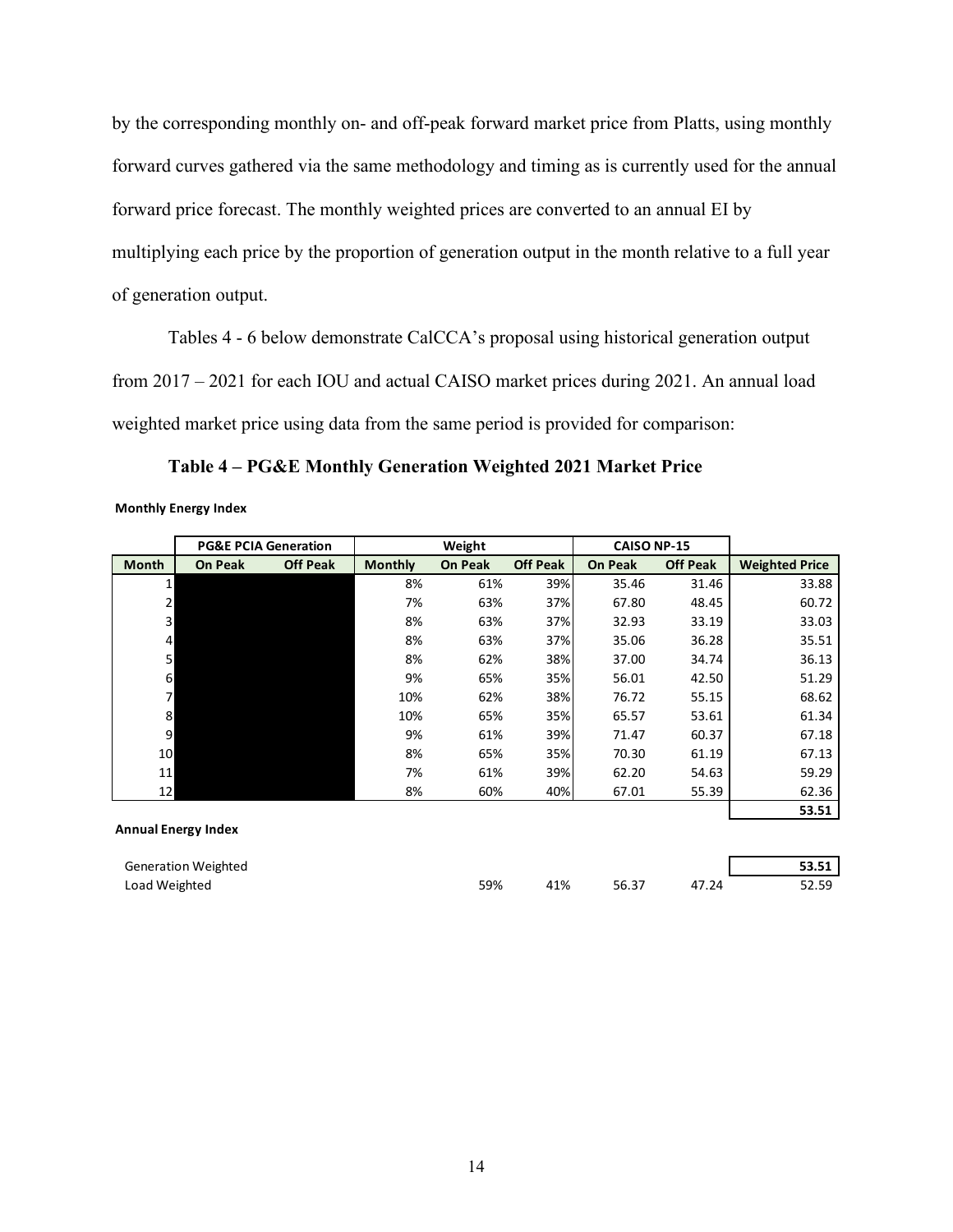by the corresponding monthly on- and off-peak forward market price from Platts, using monthly forward curves gathered via the same methodology and timing as is currently used for the annual forward price forecast. The monthly weighted prices are converted to an annual EI by multiplying each price by the proportion of generation output in the month relative to a full year of generation output.

Tables 4 - 6 below demonstrate CalCCA's proposal using historical generation output from 2017 – 2021 for each IOU and actual CAISO market prices during 2021. An annual load weighted market price using data from the same period is provided for comparison:

|                            |                            | <b>PG&amp;E PCIA Generation</b> |                | Weight         |                 | <b>CAISO NP-15</b> |                 |                       |
|----------------------------|----------------------------|---------------------------------|----------------|----------------|-----------------|--------------------|-----------------|-----------------------|
| <b>Month</b>               | <b>On Peak</b>             | <b>Off Peak</b>                 | <b>Monthly</b> | <b>On Peak</b> | <b>Off Peak</b> | <b>On Peak</b>     | <b>Off Peak</b> | <b>Weighted Price</b> |
| 1                          |                            |                                 | 8%             | 61%            | 39%             | 35.46              | 31.46           | 33.88                 |
| 2                          |                            |                                 | 7%             | 63%            | 37%             | 67.80              | 48.45           | 60.72                 |
| 3                          |                            |                                 | 8%             | 63%            | 37%             | 32.93              | 33.19           | 33.03                 |
| 4                          |                            |                                 | 8%             | 63%            | 37%             | 35.06              | 36.28           | 35.51                 |
| 5                          |                            |                                 | 8%             | 62%            | 38%             | 37.00              | 34.74           | 36.13                 |
| 6                          |                            |                                 | 9%             | 65%            | 35%             | 56.01              | 42.50           | 51.29                 |
| $\overline{7}$             |                            |                                 | 10%            | 62%            | 38%             | 76.72              | 55.15           | 68.62                 |
| 8                          |                            |                                 | 10%            | 65%            | 35%             | 65.57              | 53.61           | 61.34                 |
| 9                          |                            |                                 | 9%             | 61%            | 39%             | 71.47              | 60.37           | 67.18                 |
| 10                         |                            |                                 | 8%             | 65%            | 35%             | 70.30              | 61.19           | 67.13                 |
| 11                         |                            |                                 | 7%             | 61%            | 39%             | 62.20              | 54.63           | 59.29                 |
| 12                         |                            |                                 | 8%             | 60%            | 40%             | 67.01              | 55.39           | 62.36                 |
|                            |                            |                                 |                |                |                 |                    |                 | 53.51                 |
| <b>Annual Energy Index</b> |                            |                                 |                |                |                 |                    |                 |                       |
|                            | <b>Generation Weighted</b> |                                 |                |                |                 |                    |                 | 53.51                 |
| Load Weighted              |                            |                                 |                | 59%            | 41%             | 56.37              | 47.24           | 52.59                 |

**Table 4 – PG&E Monthly Generation Weighted 2021 Market Price**

**Monthly Energy Index**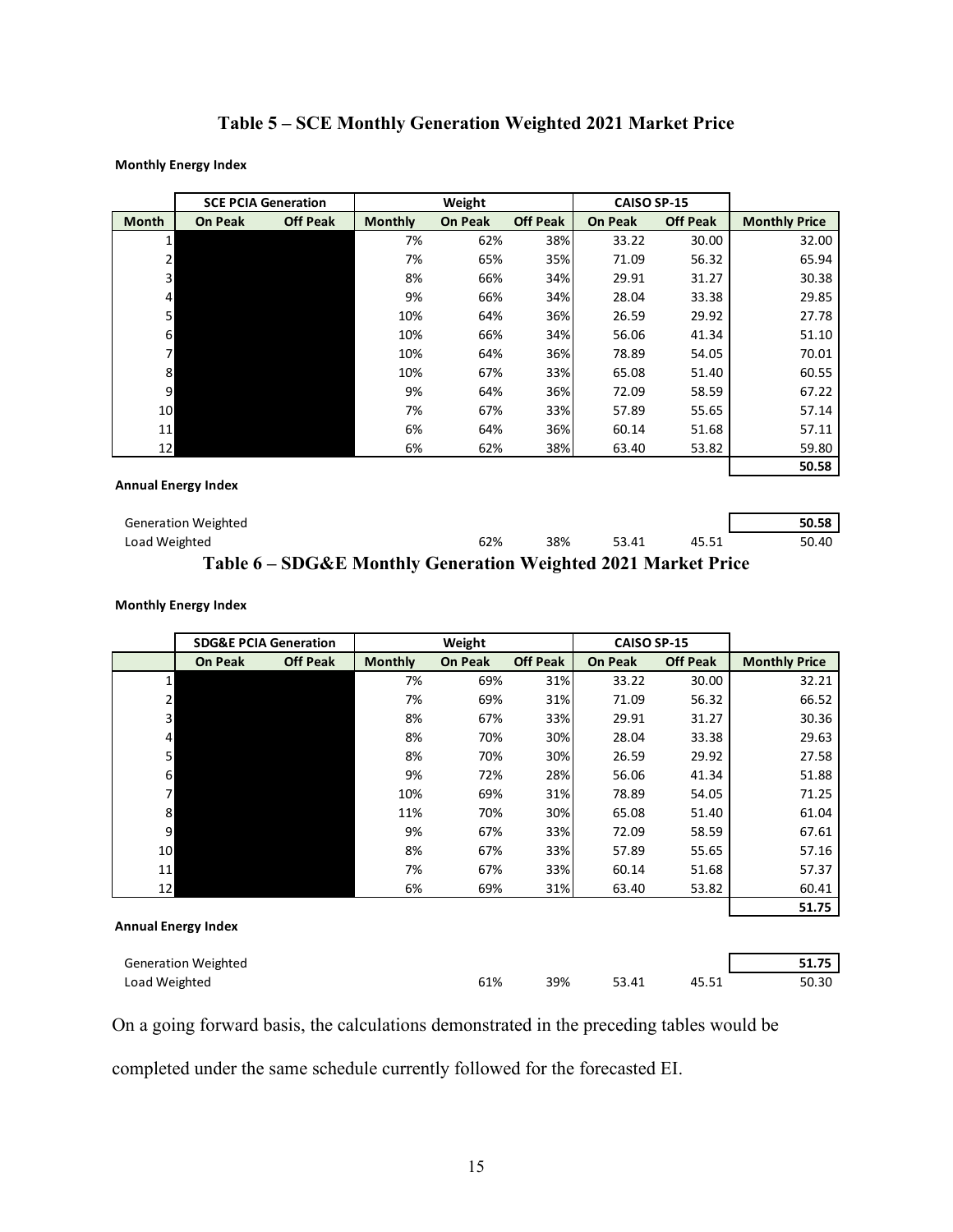# **Table 5 – SCE Monthly Generation Weighted 2021 Market Price**

#### **Monthly Energy Index**

|                            |                            | <b>SCE PCIA Generation</b>                                    | Weight         |                |                 | CAISO SP-15    |                 |                      |
|----------------------------|----------------------------|---------------------------------------------------------------|----------------|----------------|-----------------|----------------|-----------------|----------------------|
| <b>Month</b>               | <b>On Peak</b>             | <b>Off Peak</b>                                               | <b>Monthly</b> | <b>On Peak</b> | <b>Off Peak</b> | <b>On Peak</b> | <b>Off Peak</b> | <b>Monthly Price</b> |
|                            |                            |                                                               | 7%             | 62%            | 38%             | 33.22          | 30.00           | 32.00                |
| 2                          |                            |                                                               | 7%             | 65%            | 35%             | 71.09          | 56.32           | 65.94                |
| 3                          |                            |                                                               | 8%             | 66%            | 34%             | 29.91          | 31.27           | 30.38                |
| 4                          |                            |                                                               | 9%             | 66%            | 34%             | 28.04          | 33.38           | 29.85                |
| 5                          |                            |                                                               | 10%            | 64%            | 36%             | 26.59          | 29.92           | 27.78                |
| 6                          |                            |                                                               | 10%            | 66%            | 34%             | 56.06          | 41.34           | 51.10                |
| $\overline{7}$             |                            |                                                               | 10%            | 64%            | 36%             | 78.89          | 54.05           | 70.01                |
| 8                          |                            |                                                               | 10%            | 67%            | 33%             | 65.08          | 51.40           | 60.55                |
| 9                          |                            |                                                               | 9%             | 64%            | 36%             | 72.09          | 58.59           | 67.22                |
| 10                         |                            |                                                               | 7%             | 67%            | 33%             | 57.89          | 55.65           | 57.14                |
| 11                         |                            |                                                               | 6%             | 64%            | 36%             | 60.14          | 51.68           | 57.11                |
| 12                         |                            |                                                               | 6%             | 62%            | 38%             | 63.40          | 53.82           | 59.80                |
|                            |                            |                                                               |                |                |                 |                |                 | 50.58                |
| <b>Annual Energy Index</b> |                            |                                                               |                |                |                 |                |                 |                      |
|                            | <b>Generation Weighted</b> |                                                               |                |                |                 |                |                 | 50.58                |
| Load Weighted              |                            |                                                               |                | 62%            | 38%             | 53.41          | 45.51           | 50.40                |
|                            |                            | Table 6 – SDG&E Monthly Generation Weighted 2021 Market Price |                |                |                 |                |                 |                      |

#### **Monthly Energy Index**

|                            |                            | <b>SDG&amp;E PCIA Generation</b> | Weight         |                |                 | CAISO SP-15    |                 |                      |
|----------------------------|----------------------------|----------------------------------|----------------|----------------|-----------------|----------------|-----------------|----------------------|
|                            | <b>On Peak</b>             | <b>Off Peak</b>                  | <b>Monthly</b> | <b>On Peak</b> | <b>Off Peak</b> | <b>On Peak</b> | <b>Off Peak</b> | <b>Monthly Price</b> |
| 1                          |                            |                                  | 7%             | 69%            | 31%             | 33.22          | 30.00           | 32.21                |
| $\overline{2}$             |                            |                                  | 7%             | 69%            | 31%             | 71.09          | 56.32           | 66.52                |
| $\overline{\mathbf{3}}$    |                            |                                  | 8%             | 67%            | 33%             | 29.91          | 31.27           | 30.36                |
| $\overline{\mathbf{r}}$    |                            |                                  | 8%             | 70%            | 30%             | 28.04          | 33.38           | 29.63                |
| 5                          |                            |                                  | 8%             | 70%            | 30%             | 26.59          | 29.92           | 27.58                |
| 6                          |                            |                                  | 9%             | 72%            | 28%             | 56.06          | 41.34           | 51.88                |
| $\overline{7}$             |                            |                                  | 10%            | 69%            | 31%             | 78.89          | 54.05           | 71.25                |
| 8                          |                            |                                  | 11%            | 70%            | 30%             | 65.08          | 51.40           | 61.04                |
| 9                          |                            |                                  | 9%             | 67%            | 33%             | 72.09          | 58.59           | 67.61                |
| 10                         |                            |                                  | 8%             | 67%            | 33%             | 57.89          | 55.65           | 57.16                |
| 11                         |                            |                                  | 7%             | 67%            | 33%             | 60.14          | 51.68           | 57.37                |
| 12                         |                            |                                  | 6%             | 69%            | 31%             | 63.40          | 53.82           | 60.41                |
|                            |                            |                                  |                |                |                 |                |                 | 51.75                |
| <b>Annual Energy Index</b> |                            |                                  |                |                |                 |                |                 |                      |
|                            | <b>Generation Weighted</b> |                                  |                |                |                 |                |                 | 51.75                |
| Load Weighted              |                            |                                  |                | 61%            | 39%             | 53.41          | 45.51           | 50.30                |

On a going forward basis, the calculations demonstrated in the preceding tables would be

completed under the same schedule currently followed for the forecasted EI.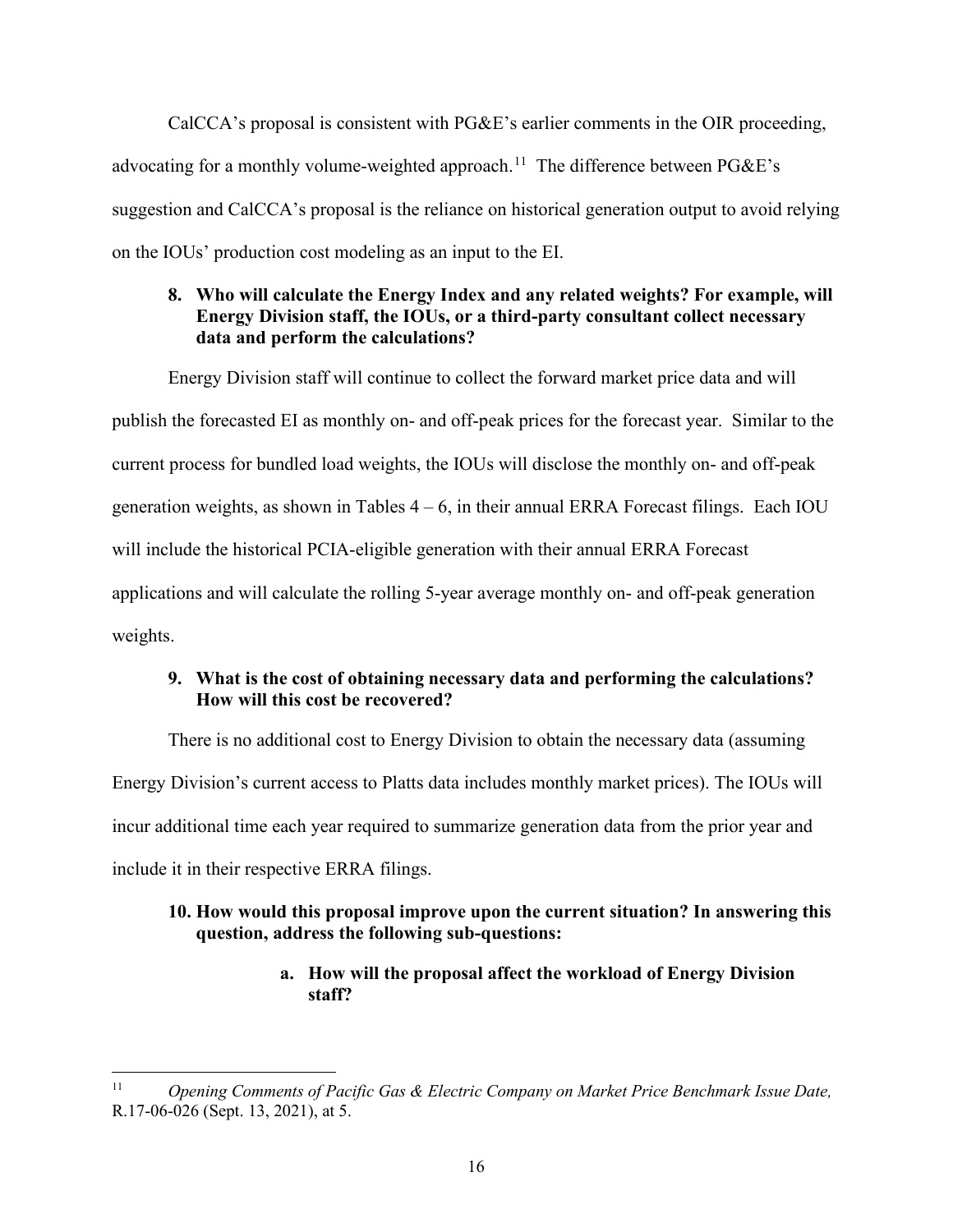CalCCA's proposal is consistent with PG&E's earlier comments in the OIR proceeding, advocating for a monthly volume-weighted approach.<sup>11</sup> The difference between  $P G \& E$ 's suggestion and CalCCA's proposal is the reliance on historical generation output to avoid relying on the IOUs' production cost modeling as an input to the EI.

## <span id="page-20-0"></span>**8. Who will calculate the Energy Index and any related weights? For example, will Energy Division staff, the IOUs, or a third-party consultant collect necessary data and perform the calculations?**

Energy Division staff will continue to collect the forward market price data and will publish the forecasted EI as monthly on- and off-peak prices for the forecast year. Similar to the current process for bundled load weights, the IOUs will disclose the monthly on- and off-peak generation weights, as shown in Tables  $4 - 6$ , in their annual ERRA Forecast filings. Each IOU will include the historical PCIA-eligible generation with their annual ERRA Forecast applications and will calculate the rolling 5-year average monthly on- and off-peak generation weights.

## <span id="page-20-1"></span>**9. What is the cost of obtaining necessary data and performing the calculations? How will this cost be recovered?**

There is no additional cost to Energy Division to obtain the necessary data (assuming Energy Division's current access to Platts data includes monthly market prices). The IOUs will incur additional time each year required to summarize generation data from the prior year and include it in their respective ERRA filings.

## <span id="page-20-2"></span>**10. How would this proposal improve upon the current situation? In answering this question, address the following sub-questions:**

## **a. How will the proposal affect the workload of Energy Division staff?**

<span id="page-20-3"></span><sup>11</sup> *Opening Comments of Pacific Gas & Electric Company on Market Price Benchmark Issue Date,*  R.17-06-026 (Sept. 13, 2021), at 5.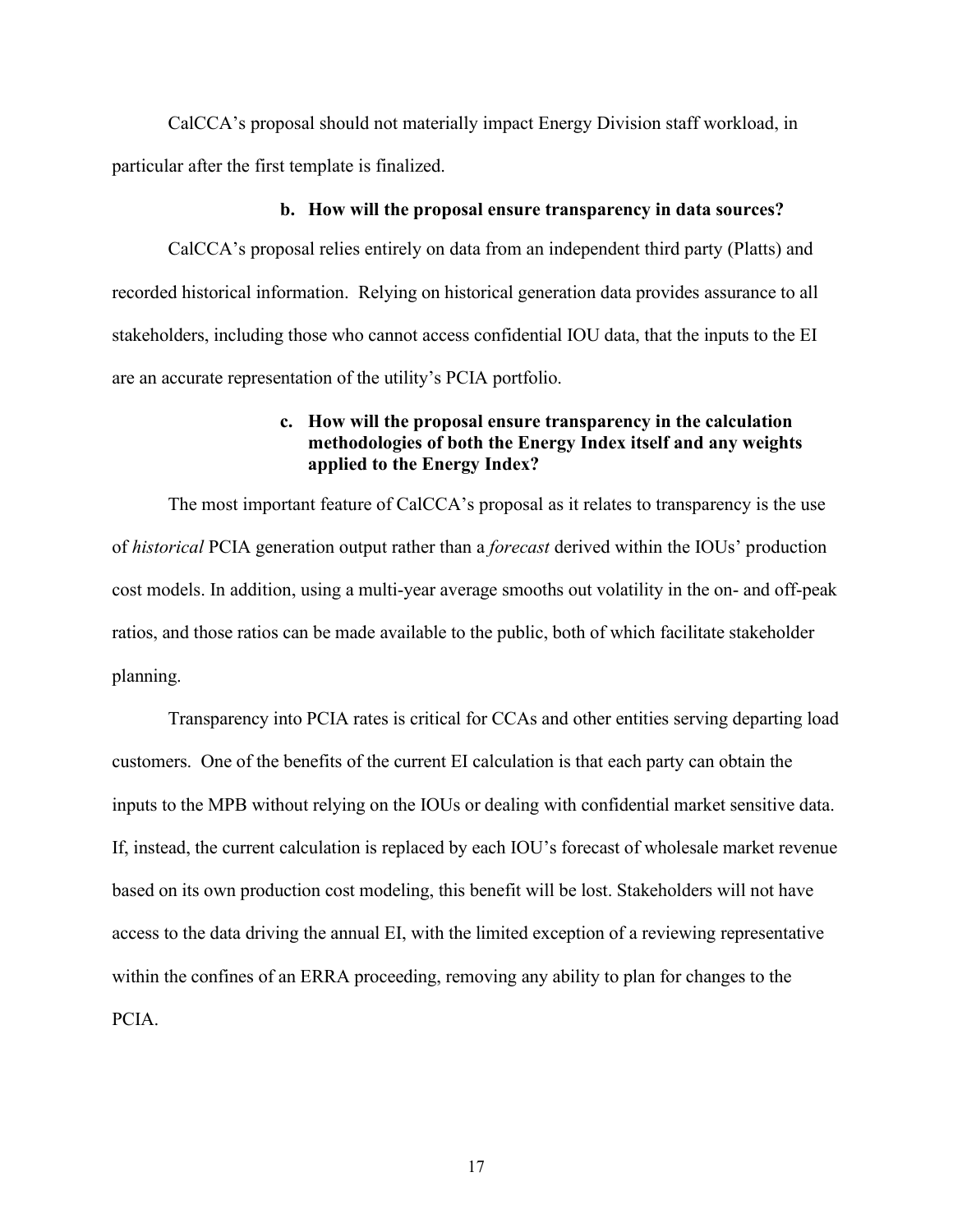CalCCA's proposal should not materially impact Energy Division staff workload, in particular after the first template is finalized.

#### **b. How will the proposal ensure transparency in data sources?**

CalCCA's proposal relies entirely on data from an independent third party (Platts) and recorded historical information. Relying on historical generation data provides assurance to all stakeholders, including those who cannot access confidential IOU data, that the inputs to the EI are an accurate representation of the utility's PCIA portfolio.

#### **c. How will the proposal ensure transparency in the calculation methodologies of both the Energy Index itself and any weights applied to the Energy Index?**

The most important feature of CalCCA's proposal as it relates to transparency is the use of *historical* PCIA generation output rather than a *forecast* derived within the IOUs' production cost models. In addition, using a multi-year average smooths out volatility in the on- and off-peak ratios, and those ratios can be made available to the public, both of which facilitate stakeholder planning.

Transparency into PCIA rates is critical for CCAs and other entities serving departing load customers. One of the benefits of the current EI calculation is that each party can obtain the inputs to the MPB without relying on the IOUs or dealing with confidential market sensitive data. If, instead, the current calculation is replaced by each IOU's forecast of wholesale market revenue based on its own production cost modeling, this benefit will be lost. Stakeholders will not have access to the data driving the annual EI, with the limited exception of a reviewing representative within the confines of an ERRA proceeding, removing any ability to plan for changes to the PCIA.